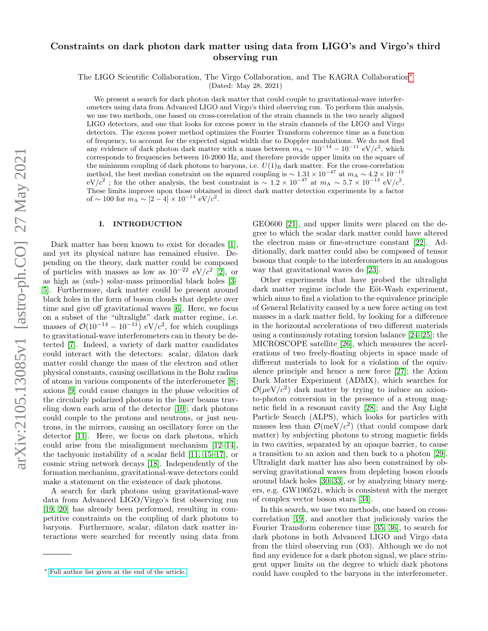# Constraints on dark photon dark matter using data from LIGO's and Virgo's third observing run

The LIGO Scientific Collaboration, The Virgo Collaboration, and The KAGRA Collaboration[∗](#page-0-0)

(Dated: May 28, 2021)

We present a search for dark photon dark matter that could couple to gravitational-wave interferometers using data from Advanced LIGO and Virgo's third observing run. To perform this analysis, we use two methods, one based on cross-correlation of the strain channels in the two nearly aligned LIGO detectors, and one that looks for excess power in the strain channels of the LIGO and Virgo detectors. The excess power method optimizes the Fourier Transform coherence time as a function of frequency, to account for the expected signal width due to Doppler modulations. We do not find any evidence of dark photon dark matter with a mass between  $m_A \sim 10^{-14} - 10^{-11}$  eV/ $c^2$ , which corresponds to frequencies between 10-2000 Hz, and therefore provide upper limits on the square of the minimum coupling of dark photons to baryons, i.e.  $U(1)_B$  dark matter. For the cross-correlation method, the best median constraint on the squared coupling is  $\sim 1.31 \times 10^{-47}$  at  $m_A \sim 4.2 \times 10^{-13}$  $eV/c^2$ ; for the other analysis, the best constraint is  $\sim 1.2 \times 10^{-47}$  at  $m_A \sim 5.7 \times 10^{-13}$  eV/c<sup>2</sup>. These limits improve upon those obtained in direct dark matter detection experiments by a factor of ~ 100 for  $m_A \sim [2-4] \times 10^{-13} \text{ eV}/c^2$ .

# I. INTRODUCTION

Dark matter has been known to exist for decades [\[1\]](#page-6-0), and yet its physical nature has remained elusive. Depending on the theory, dark matter could be composed of particles with masses as low as  $10^{-22}$  eV/ $c^2$  [\[2\]](#page-6-1), or as high as (sub-) solar-mass primordial black holes [\[3–](#page-6-2) [5\]](#page-6-3). Furthermore, dark matter could be present around black holes in the form of boson clouds that deplete over time and give off gravitational waves [\[6\]](#page-6-4). Here, we focus on a subset of the "ultralight" dark matter regime, i.e. masses of  $\mathcal{O}(10^{-14} - 10^{-11})$  eV/ $c^2$ , for which couplings to gravitational-wave interferometers can in theory be detected [\[7\]](#page-6-5). Indeed, a variety of dark matter candidates could interact with the detectors: scalar, dilaton dark matter could change the mass of the electron and other physical constants, causing oscillations in the Bohr radius of atoms in various components of the interferometer [\[8\]](#page-6-6); axions [\[9\]](#page-6-7) could cause changes in the phase velocities of the circularly polarized photons in the laser beams traveling down each arm of the detector [\[10\]](#page-6-8); dark photons could couple to the protons and neutrons, or just neutrons, in the mirrors, causing an oscillatory force on the detector [\[11\]](#page-6-9). Here, we focus on dark photons, which could arise from the misalignment mechanism [\[12–](#page-6-10)[14\]](#page-7-0), the tachyonic instability of a scalar field [\[11,](#page-6-9) [15–](#page-7-1)[17\]](#page-7-2), or cosmic string network decays [\[18\]](#page-7-3). Independently of the formation mechanism, gravitational-wave detectors could make a statement on the existence of dark photons.

A search for dark photons using gravitational-wave data from Advanced LIGO/Virgo's first observing run [\[19,](#page-7-4) [20\]](#page-7-5) has already been performed, resulting in competitive constraints on the coupling of dark photons to baryons. Furthermore, scalar, dilaton dark matter interactions were searched for recently using data from

GEO600 [\[21\]](#page-7-6), and upper limits were placed on the degree to which the scalar dark matter could have altered the electron mass or fine-structure constant [\[22\]](#page-7-7). Additionally, dark matter could also be composed of tensor bosons that couple to the interferometers in an analogous way that gravitational waves do [\[23\]](#page-7-8).

Other experiments that have probed the ultralight dark matter regime include the Eöt-Wash experiment, which aims to find a violation to the equivalence principle of General Relativity caused by a new force acting on test masses in a dark matter field, by looking for a difference in the horizontal accelerations of two different materials using a continuously rotating torsion balance [\[24,](#page-7-9) [25\]](#page-7-10); the MICROSCOPE satellite [\[26\]](#page-7-11), which measures the accelerations of two freely-floating objects in space made of different materials to look for a violation of the equivalence principle and hence a new force [\[27\]](#page-7-12); the Axion Dark Matter Experiment (ADMX), which searches for  $\mathcal{O}(\mu eV/c^2)$  dark matter by trying to induce an axionto-photon conversion in the presence of a strong magnetic field in a resonant cavity [\[28\]](#page-7-13); and the Any Light Particle Search (ALPS), which looks for particles with masses less than  $\mathcal{O}(meV/c^2)$  (that could compose dark matter) by subjecting photons to strong magnetic fields in two cavities, separated by an opaque barrier, to cause a transition to an axion and then back to a photon [\[29\]](#page-7-14). Ultralight dark matter has also been constrained by observing gravitational waves from depleting boson clouds around black holes [\[30](#page-7-15)[–33\]](#page-7-16), or by analyzing binary mergers, e.g. GW190521, which is consistent with the merger of complex vector boson stars [\[34\]](#page-7-17).

In this search, we use two methods, one based on crosscorrelation [\[19\]](#page-7-4), and another that judiciously varies the Fourier Transform coherence time [\[35,](#page-7-18) [36\]](#page-7-19), to search for dark photons in both Advanced LIGO and Virgo data from the third observing run (O3). Although we do not find any evidence for a dark photon signal, we place stringent upper limits on the degree to which dark photons could have coupled to the baryons in the interferometer.

<span id="page-0-0"></span><sup>∗</sup> [Full author list given at the end of the article.](mailto:Full author list given at the end of the article.)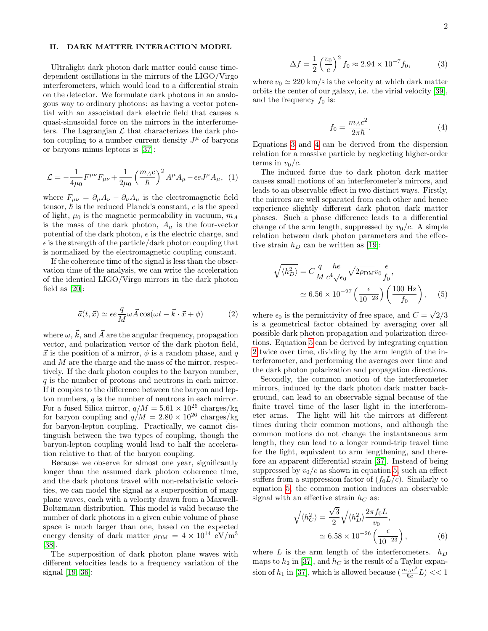## II. DARK MATTER INTERACTION MODEL

Ultralight dark photon dark matter could cause timedependent oscillations in the mirrors of the LIGO/Virgo interferometers, which would lead to a differential strain on the detector. We formulate dark photons in an analogous way to ordinary photons: as having a vector potential with an associated dark electric field that causes a quasi-sinusoidal force on the mirrors in the interferometers. The Lagrangian  $\mathcal L$  that characterizes the dark photon coupling to a number current density  $J^{\mu}$  of baryons or baryons minus leptons is [\[37\]](#page-7-20):

$$
\mathcal{L} = -\frac{1}{4\mu_0} F^{\mu\nu} F_{\mu\nu} + \frac{1}{2\mu_0} \left(\frac{m_A c}{\hbar}\right)^2 A^{\mu} A_{\mu} - \epsilon e J^{\mu} A_{\mu}, \tag{1}
$$

where  $F_{\mu\nu} = \partial_{\mu}A_{\nu} - \partial_{\nu}A_{\mu}$  is the electromagnetic field tensor,  $\hbar$  is the reduced Planck's constant, c is the speed of light,  $\mu_0$  is the magnetic permeability in vacuum,  $m_A$ is the mass of the dark photon,  $A_{\mu}$  is the four-vector potential of the dark photon, e is the electric charge, and  $\epsilon$  is the strength of the particle/dark photon coupling that is normalized by the electromagnetic coupling constant.

If the coherence time of the signal is less than the observation time of the analysis, we can write the acceleration of the identical LIGO/Virgo mirrors in the dark photon field as [\[20\]](#page-7-5):

<span id="page-1-3"></span>
$$
\vec{a}(t, \vec{x}) \simeq \epsilon e \frac{q}{M} \omega \vec{A} \cos(\omega t - \vec{k} \cdot \vec{x} + \phi)
$$
 (2)

where  $\omega, \vec{k}$ , and  $\vec{A}$  are the angular frequency, propagation vector, and polarization vector of the dark photon field,  $\vec{x}$  is the position of a mirror,  $\phi$  is a random phase, and q and M are the charge and the mass of the mirror, respectively. If the dark photon couples to the baryon number, q is the number of protons and neutrons in each mirror. If it couples to the difference between the baryon and lepton numbers,  $q$  is the number of neutrons in each mirror. For a fused Silica mirror,  $q/M = 5.61 \times 10^{26}$  charges/kg for baryon coupling and  $q/M = 2.80 \times 10^{26}$  charges/kg for baryon-lepton coupling. Practically, we cannot distinguish between the two types of coupling, though the baryon-lepton coupling would lead to half the acceleration relative to that of the baryon coupling.

Because we observe for almost one year, significantly longer than the assumed dark photon coherence time, and the dark photons travel with non-relativistic velocities, we can model the signal as a superposition of many plane waves, each with a velocity drawn from a Maxwell-Boltzmann distribution. This model is valid because the number of dark photons in a given cubic volume of phase space is much larger than one, based on the expected energy density of dark matter  $\rho_{DM} = 4 \times 10^{14} \text{ eV/m}^3$ [\[38\]](#page-7-21).

The superposition of dark photon plane waves with different velocities leads to a frequency variation of the signal [\[19,](#page-7-4) [36\]](#page-7-19):

<span id="page-1-0"></span>
$$
\Delta f = \frac{1}{2} \left( \frac{v_0}{c} \right)^2 f_0 \approx 2.94 \times 10^{-7} f_0,
$$
 (3)

where  $v_0 \approx 220 \text{ km/s}$  is the velocity at which dark matter orbits the center of our galaxy, i.e. the virial velocity [\[39\]](#page-7-22), and the frequency  $f_0$  is:

<span id="page-1-1"></span>
$$
f_0 = \frac{m_A c^2}{2\pi\hbar}.\tag{4}
$$

Equations [3](#page-1-0) and [4](#page-1-1) can be derived from the dispersion relation for a massive particle by neglecting higher-order terms in  $v_0/c$ .

The induced force due to dark photon dark matter causes small motions of an interferometer's mirrors, and leads to an observable effect in two distinct ways. Firstly, the mirrors are well separated from each other and hence experience slightly different dark photon dark matter phases. Such a phase difference leads to a differential change of the arm length, suppressed by  $v_0/c$ . A simple relation between dark photon parameters and the effective strain  $h_D$  can be written as [\[19\]](#page-7-4):

<span id="page-1-2"></span>
$$
\sqrt{\langle h_D^2 \rangle} = C \frac{q}{M} \frac{\hbar e}{c^4 \sqrt{\epsilon_0}} \sqrt{2\rho_{\rm DM}} v_0 \frac{\epsilon}{f_0},
$$
  

$$
\simeq 6.56 \times 10^{-27} \left( \frac{\epsilon}{10^{-23}} \right) \left( \frac{100 \text{ Hz}}{f_0} \right), \quad (5)
$$

where  $\epsilon_0$  is the permittivity of free space, and  $C =$  $2/3$ is a geometrical factor obtained by averaging over all possible dark photon propagation and polarization directions. Equation [5](#page-1-2) can be derived by integrating equation [2](#page-1-3) twice over time, dividing by the arm length of the interferometer, and performing the averages over time and the dark photon polarization and propagation directions.

Secondly, the common motion of the interferometer mirrors, induced by the dark photon dark matter background, can lead to an observable signal because of the finite travel time of the laser light in the interferometer arms. The light will hit the mirrors at different times during their common motions, and although the common motions do not change the instantaneous arm length, they can lead to a longer round-trip travel time for the light, equivalent to arm lengthening, and therefore an apparent differential strain [\[37\]](#page-7-20). Instead of being suppressed by  $v_0/c$  as shown in equation [5,](#page-1-2) such an effect suffers from a suppression factor of  $(f_0L/c)$ . Similarly to equation [5,](#page-1-2) the common motion induces an observable signal with an effective strain  $h<sub>C</sub>$  as:

<span id="page-1-4"></span>
$$
\sqrt{\langle h_C^2 \rangle} = \frac{\sqrt{3}}{2} \sqrt{\langle h_D^2 \rangle} \frac{2\pi f_0 L}{v_0},
$$
  
 
$$
\simeq 6.58 \times 10^{-26} \left( \frac{\epsilon}{10^{-23}} \right),
$$
 (6)

where L is the arm length of the interferometers.  $h_D$ maps to  $h_2$  in [\[37\]](#page-7-20), and  $h_C$  is the result of a Taylor expansion of  $h_1$  in [\[37\]](#page-7-20), which is allowed because  $(\frac{m_A c^2}{\hbar c}L)$  << 1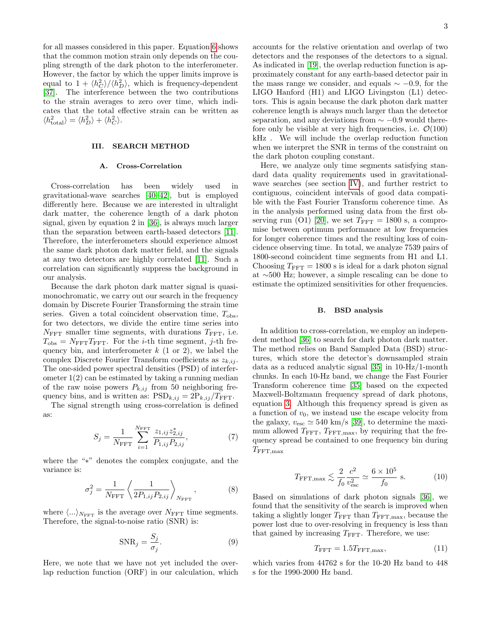for all masses considered in this paper. Equation [6](#page-1-4) shows that the common motion strain only depends on the coupling strength of the dark photon to the interferometer. However, the factor by which the upper limits improve is equal to  $1 + \langle h_C^2 \rangle / \langle h_D^2 \rangle$ , which is frequency-dependent [\[37\]](#page-7-20). The interference between the two contributions to the strain averages to zero over time, which indicates that the total effective strain can be written as  $\langle h_{\text{total}}^2 \rangle = \langle h_D^2 \rangle + \langle h_C^2 \rangle.$ 

#### III. SEARCH METHOD

## A. Cross-Correlation

Cross-correlation has been widely used in gravitational-wave searches [\[40](#page-7-23)[–42\]](#page-7-24), but is employed differently here. Because we are interested in ultralight dark matter, the coherence length of a dark photon signal, given by equation 2 in [\[36\]](#page-7-19), is always much larger than the separation between earth-based detectors [\[11\]](#page-6-9). Therefore, the interferometers should experience almost the same dark photon dark matter field, and the signals at any two detectors are highly correlated [\[11\]](#page-6-9). Such a correlation can significantly suppress the background in our analysis.

Because the dark photon dark matter signal is quasimonochromatic, we carry out our search in the frequency domain by Discrete Fourier Transforming the strain time series. Given a total coincident observation time,  $T_{\text{obs}}$ , for two detectors, we divide the entire time series into  $N_{\text{FFT}}$  smaller time segments, with durations  $T_{\text{FFT}}$ , i.e.  $T_{\text{obs}} = N_{\text{FFT}}T_{\text{FFT}}$ . For the *i*-th time segment, *j*-th frequency bin, and interferometer  $k$  (1 or 2), we label the complex Discrete Fourier Transform coefficients as  $z_{k,ij}$ . The one-sided power spectral densities (PSD) of interferometer 1(2) can be estimated by taking a running median of the raw noise powers  $P_{k,ij}$  from 50 neighboring frequency bins, and is written as:  $PSD_{k,ij} = 2P_{k,ij}/T_{FFT}$ .

The signal strength using cross-correlation is defined as:

$$
S_j = \frac{1}{N_{\text{FFT}}} \sum_{i=1}^{N_{\text{FFT}}} \frac{z_{1,ij} z_{2,ij}^*}{P_{1,ij} P_{2,ij}},
$$
(7)

where the "∗" denotes the complex conjugate, and the variance is:

$$
\sigma_j^2 = \frac{1}{N_{\text{FFT}}} \left\langle \frac{1}{2P_{1,ij}P_{2,ij}} \right\rangle_{N_{\text{FFT}}},\tag{8}
$$

where  $\langle ... \rangle_{N_{\text{FFT}}}$  is the average over  $N_{\text{FFT}}$  time segments. Therefore, the signal-to-noise ratio (SNR) is:

$$
SNR_j = \frac{S_j}{\sigma_j}.\tag{9}
$$

Here, we note that we have not yet included the overlap reduction function (ORF) in our calculation, which accounts for the relative orientation and overlap of two detectors and the responses of the detectors to a signal. As indicated in [\[19\]](#page-7-4), the overlap reduction function is approximately constant for any earth-based detector pair in the mass range we consider, and equals  $\sim -0.9$ , for the LIGO Hanford (H1) and LIGO Livingston (L1) detectors. This is again because the dark photon dark matter coherence length is always much larger than the detector separation, and any deviations from  $\sim -0.9$  would therefore only be visible at very high frequencies, i.e.  $\mathcal{O}(100)$ kHz . We will include the overlap reduction function when we interpret the SNR in terms of the constraint on the dark photon coupling constant.

Here, we analyze only time segments satisfying standard data quality requirements used in gravitationalwave searches (see section [IV\)](#page-3-0), and further restrict to contiguous, coincident intervals of good data compatible with the Fast Fourier Transform coherence time. As in the analysis performed using data from the first ob-serving run (O1) [\[20\]](#page-7-5), we set  $T_{\text{FFT}} = 1800 \text{ s}$ , a compromise between optimum performance at low frequencies for longer coherence times and the resulting loss of coincidence observing time. In total, we analyze 7539 pairs of 1800-second coincident time segments from H1 and L1. Choosing  $T_{\text{FFT}} = 1800$  s is ideal for a dark photon signal at ∼500 Hz; however, a simple rescaling can be done to estimate the optimized sensitivities for other frequencies.

## B. BSD analysis

In addition to cross-correlation, we employ an independent method [\[36\]](#page-7-19) to search for dark photon dark matter. The method relies on Band Sampled Data (BSD) structures, which store the detector's downsampled strain data as a reduced analytic signal [\[35\]](#page-7-18) in 10-Hz/1-month chunks. In each 10-Hz band, we change the Fast Fourier Transform coherence time [\[35\]](#page-7-18) based on the expected Maxwell-Boltzmann frequency spread of dark photons, equation [3.](#page-1-0) Although this frequency spread is given as a function of  $v_0$ , we instead use the escape velocity from the galaxy,  $v_{\rm esc} \simeq 540 \text{ km/s}$  [\[39\]](#page-7-22), to determine the maximum allowed  $T_{\text{FFT}}$ ,  $T_{\text{FFT},\text{max}}$ , by requiring that the frequency spread be contained to one frequency bin during  $T_{\rm FFT,max}$ 

<span id="page-2-0"></span>
$$
T_{\text{FFT}, \max} \lesssim \frac{2}{f_0} \frac{c^2}{v_{\text{esc}}^2} \simeq \frac{6 \times 10^5}{f_0} \text{ s.}
$$
 (10)

Based on simulations of dark photon signals [\[36\]](#page-7-19), we found that the sensitivity of the search is improved when taking a slightly longer  $T_{\text{FFT}}$  than  $T_{\text{FFT,max}}$ , because the power lost due to over-resolving in frequency is less than that gained by increasing  $T_{\text{FFT}}$ . Therefore, we use:

$$
T_{\text{FFT}} = 1.5 T_{\text{FFT}, \text{max}},\tag{11}
$$

which varies from 44762 s for the 10-20 Hz band to 448 s for the 1990-2000 Hz band.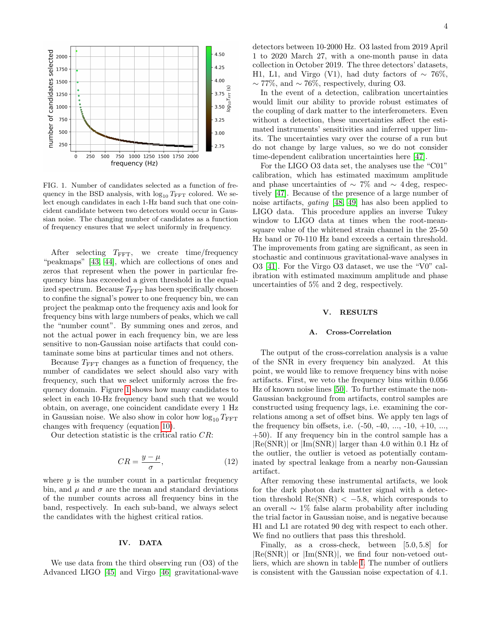

<span id="page-3-1"></span>FIG. 1. Number of candidates selected as a function of frequency in the BSD analysis, with  $log_{10} T_{\text{FFT}}$  colored. We select enough candidates in each 1-Hz band such that one coincident candidate between two detectors would occur in Gaussian noise. The changing number of candidates as a function of frequency ensures that we select uniformly in frequency.

After selecting  $T_{\text{FFT}}$ , we create time/frequency "peakmaps" [\[43,](#page-7-25) [44\]](#page-7-26), which are collections of ones and zeros that represent when the power in particular frequency bins has exceeded a given threshold in the equalized spectrum. Because  $T_{\text{FFT}}$  has been specifically chosen to confine the signal's power to one frequency bin, we can project the peakmap onto the frequency axis and look for frequency bins with large numbers of peaks, which we call the "number count". By summing ones and zeros, and not the actual power in each frequency bin, we are less sensitive to non-Gaussian noise artifacts that could contaminate some bins at particular times and not others.

Because  $T_{\text{FFT}}$  changes as a function of frequency, the number of candidates we select should also vary with frequency, such that we select uniformly across the frequency domain. Figure [1](#page-3-1) shows how many candidates to select in each 10-Hz frequency band such that we would obtain, on average, one coincident candidate every 1 Hz in Gaussian noise. We also show in color how  $\log_{10} T_{\text{FFT}}$ changes with frequency (equation [10\)](#page-2-0).

Our detection statistic is the critical ratio CR:

$$
CR = \frac{y - \mu}{\sigma},\tag{12}
$$

where  $y$  is the number count in a particular frequency bin, and  $\mu$  and  $\sigma$  are the mean and standard deviations of the number counts across all frequency bins in the band, respectively. In each sub-band, we always select the candidates with the highest critical ratios.

# <span id="page-3-0"></span>IV. DATA

We use data from the third observing run (O3) of the Advanced LIGO [\[45\]](#page-7-27) and Virgo [\[46\]](#page-7-28) gravitational-wave detectors between 10-2000 Hz. O3 lasted from 2019 April 1 to 2020 March 27, with a one-month pause in data collection in October 2019. The three detectors' datasets, H1, L1, and Virgo (V1), had duty factors of  $\sim 76\%,$  $\sim$  77%, and  $\sim$  76%, respectively, during O3.

In the event of a detection, calibration uncertainties would limit our ability to provide robust estimates of the coupling of dark matter to the interferometers. Even without a detection, these uncertainties affect the estimated instruments' sensitivities and inferred upper limits. The uncertainties vary over the course of a run but do not change by large values, so we do not consider time-dependent calibration uncertainties here [\[47\]](#page-7-29).

For the LIGO O3 data set, the analyses use the "C01" calibration, which has estimated maximum amplitude and phase uncertainties of  $\sim$  7% and  $\sim$  4 deg, respectively [\[47\]](#page-7-29). Because of the presence of a large number of noise artifacts, gating [\[48,](#page-7-30) [49\]](#page-7-31) has also been applied to LIGO data. This procedure applies an inverse Tukey window to LIGO data at times when the root-meansquare value of the whitened strain channel in the 25-50 Hz band or 70-110 Hz band exceeds a certain threshold. The improvements from gating are significant, as seen in stochastic and continuous gravitational-wave analyses in O3 [\[41\]](#page-7-32). For the Virgo O3 dataset, we use the "V0" calibration with estimated maximum amplitude and phase uncertainties of 5% and 2 deg, respectively.

#### V. RESULTS

# A. Cross-Correlation

The output of the cross-correlation analysis is a value of the SNR in every frequency bin analyzed. At this point, we would like to remove frequency bins with noise artifacts. First, we veto the frequency bins within 0.056 Hz of known noise lines [\[50\]](#page-7-33). To further estimate the non-Gaussian background from artifacts, control samples are constructed using frequency lags, i.e. examining the correlations among a set of offset bins. We apply ten lags of the frequency bin offsets, i.e.  $(-50, -40, ..., -10, +10, ...,$ +50). If any frequency bin in the control sample has a  $|Re(SNR)|$  or  $|Im(SNR)|$  larger than 4.0 within 0.1 Hz of the outlier, the outlier is vetoed as potentially contaminated by spectral leakage from a nearby non-Gaussian artifact.

After removing these instrumental artifacts, we look for the dark photon dark matter signal with a detection threshold  $Re(SNR) < -5.8$ , which corresponds to an overall ∼ 1% false alarm probability after including the trial factor in Gaussian noise, and is negative because H1 and L1 are rotated 90 deg with respect to each other. We find no outliers that pass this threshold.

Finally, as a cross-check, between [5.0, 5.8] for  $|Re(SNR)|$  or  $|Im(SNR)|$ , we find four non-vetoed outliers, which are shown in table [I.](#page-5-0) The number of outliers is consistent with the Gaussian noise expectation of 4.1.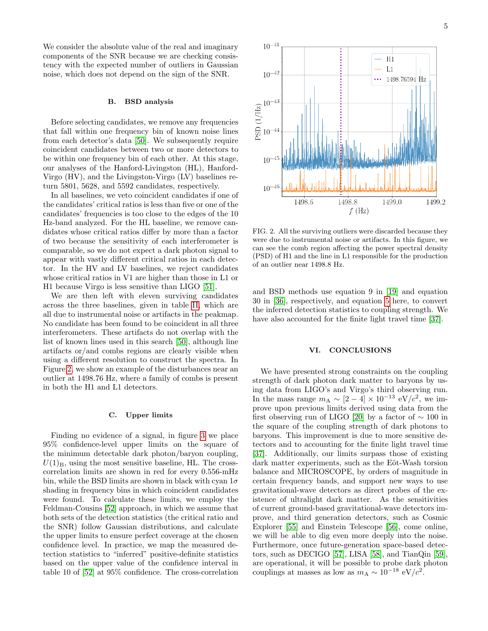We consider the absolute value of the real and imaginary components of the SNR because we are checking consistency with the expected number of outliers in Gaussian noise, which does not depend on the sign of the SNR.

# B. BSD analysis

Before selecting candidates, we remove any frequencies that fall within one frequency bin of known noise lines from each detector's data [\[50\]](#page-7-33). We subsequently require coincident candidates between two or more detectors to be within one frequency bin of each other. At this stage, our analyses of the Hanford-Livingston (HL), Hanford-Virgo (HV), and the Livingston-Virgo (LV) baselines return 5801, 5628, and 5592 candidates, respectively.

In all baselines, we veto coincident candidates if one of the candidates' critical ratios is less than five or one of the candidates' frequencies is too close to the edges of the 10 Hz-band analyzed. For the HL baseline, we remove candidates whose critical ratios differ by more than a factor of two because the sensitivity of each interferometer is comparable, so we do not expect a dark photon signal to appear with vastly different critical ratios in each detector. In the HV and LV baselines, we reject candidates whose critical ratios in V1 are higher than those in L1 or H1 because Virgo is less sensitive than LIGO [\[51\]](#page-7-34).

We are then left with eleven surviving candidates across the three baselines, given in table [II,](#page-5-1) which are all due to instrumental noise or artifacts in the peakmap. No candidate has been found to be coincident in all three interferometers. These artifacts do not overlap with the list of known lines used in this search [\[50\]](#page-7-33), although line artifacts or/and combs regions are clearly visible when using a different resolution to construct the spectra. In Figure [2,](#page-4-0) we show an example of the disturbances near an outlier at 1498.76 Hz, where a family of combs is present in both the H1 and L1 detectors.

### C. Upper limits

Finding no evidence of a signal, in figure [3](#page-5-2) we place 95% confidence-level upper limits on the square of the minimum detectable dark photon/baryon coupling,  $U(1)_B$ , using the most sensitive baseline, HL. The crosscorrelation limits are shown in red for every 0.556-mHz bin, while the BSD limits are shown in black with cyan  $1\sigma$ shading in frequency bins in which coincident candidates were found. To calculate these limits, we employ the Feldman-Cousins [\[52\]](#page-7-35) approach, in which we assume that both sets of the detection statistics (the critical ratio and the SNR) follow Gaussian distributions, and calculate the upper limits to ensure perfect coverage at the chosen confidence level. In practice, we map the measured detection statistics to "inferred" positive-definite statistics based on the upper value of the confidence interval in table 10 of [\[52\]](#page-7-35) at 95% confidence. The cross-correlation



<span id="page-4-0"></span>FIG. 2. All the surviving outliers were discarded because they were due to instrumental noise or artifacts. In this figure, we can see the comb region affecting the power spectral density (PSD) of H1 and the line in L1 responsible for the production of an outlier near 1498.8 Hz.

and BSD methods use equation 9 in [\[19\]](#page-7-4) and equation 30 in [\[36\]](#page-7-19), respectively, and equation [5](#page-1-2) here, to convert the inferred detection statistics to coupling strength. We have also accounted for the finite light travel time [\[37\]](#page-7-20).

# VI. CONCLUSIONS

We have presented strong constraints on the coupling strength of dark photon dark matter to baryons by using data from LIGO's and Virgo's third observing run. In the mass range  $m_A \sim [2-4] \times 10^{-13} \text{ eV}/c^2$ , we improve upon previous limits derived using data from the first observing run of LIGO [\[20\]](#page-7-5) by a factor of  $\sim 100$  in the square of the coupling strength of dark photons to baryons. This improvement is due to more sensitive detectors and to accounting for the finite light travel time [\[37\]](#page-7-20). Additionally, our limits surpass those of existing dark matter experiments, such as the Eöt-Wash torsion balance and MICROSCOPE, by orders of magnitude in certain frequency bands, and support new ways to use gravitational-wave detectors as direct probes of the existence of ultralight dark matter. As the sensitivities of current ground-based gravitational-wave detectors improve, and third generation detectors, such as Cosmic Explorer [\[55\]](#page-7-36) and Einstein Telescope [\[56\]](#page-7-37), come online, we will be able to dig even more deeply into the noise. Furthermore, once future-generation space-based detectors, such as DECIGO [\[57\]](#page-7-38), LISA [\[58\]](#page-7-39), and TianQin [\[59\]](#page-7-40), are operational, it will be possible to probe dark photon couplings at masses as low as  $m_A \sim 10^{-18} \text{ eV}/c^2$ .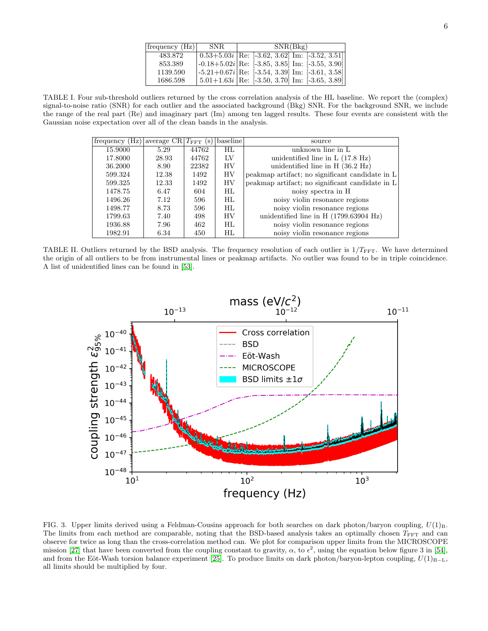| frequency(Hz) | -SNR. | SNR(Bkg)                                                                                   |
|---------------|-------|--------------------------------------------------------------------------------------------|
| 483.872       |       | $(0.53+5.03i)$ Re: [-3.62, 3.62] Im: [-3.52, 3.51]                                         |
| 853.389       |       | $\left[-0.18 + 5.02i\right]$ Re: $\left[-3.85, 3.85\right]$ Im: $\left[-3.55, 3.90\right]$ |
| 1139.590      |       | $[-5.21 + 0.67i]$ Re: $[-3.54, 3.39]$ Im: $[-3.61, 3.58]$                                  |
| 1686.598      |       | $5.01+1.63i$ Re: [-3.50, 3.70] Im: [-3.65, 3.89]                                           |

<span id="page-5-0"></span>TABLE I. Four sub-threshold outliers returned by the cross correlation analysis of the HL baseline. We report the (complex) signal-to-noise ratio (SNR) for each outlier and the associated background (Bkg) SNR. For the background SNR, we include the range of the real part (Re) and imaginary part (Im) among ten lagged results. These four events are consistent with the Gaussian noise expectation over all of the clean bands in the analysis.

| frequency (Hz) | average $CR T_{FFT}$ (s) |       | baseline | source                                           |
|----------------|--------------------------|-------|----------|--------------------------------------------------|
| 15.9000        | 5.29                     | 44762 | HL.      | unknown line in L                                |
| 17.8000        | 28.93                    | 44762 | ĪУ       | unidentified line in $L(17.8 \text{ Hz})$        |
| 36.2000        | 8.90                     | 22382 | HV       | unidentified line in $H(36.2 \text{ Hz})$        |
| 599.324        | 12.38                    | 1492  | HV       | peakmap artifact; no significant candidate in L  |
| 599.325        | 12.33                    | 1492  | HV       | peakmap artifact; no significant candidate in L  |
| 1478.75        | 6.47                     | 604   | HL.      | noisy spectra in H                               |
| 1496.26        | 7.12                     | 596   | HL.      | noisy violin resonance regions                   |
| 1498.77        | 8.73                     | 596   | HL.      | noisy violin resonance regions                   |
| 1799.63        | 7.40                     | 498   | HV       | unidentified line in H $(1799.63904 \text{ Hz})$ |
| 1936.88        | 7.96                     | 462   | HL.      | noisy violin resonance regions                   |
| 1982.91        | 6.34                     | 450   | HL       | noisy violin resonance regions                   |

<span id="page-5-1"></span>TABLE II. Outliers returned by the BSD analysis. The frequency resolution of each outlier is  $1/T_{\text{FFT}}$ . We have determined the origin of all outliers to be from instrumental lines or peakmap artifacts. No outlier was found to be in triple coincidence. A list of unidentified lines can be found in [\[53\]](#page-7-41).



<span id="page-5-2"></span>FIG. 3. Upper limits derived using a Feldman-Cousins approach for both searches on dark photon/baryon coupling,  $U(1)_B$ . The limits from each method are comparable, noting that the BSD-based analysis takes an optimally chosen  $T_{\text{FFT}}$  and can observe for twice as long than the cross-correlation method can. We plot for comparison upper limits from the MICROSCOPE mission [\[27\]](#page-7-12) that have been converted from the coupling constant to gravity,  $\alpha$ , to  $\epsilon^2$ , using the equation below figure 3 in [\[54\]](#page-7-42), and from the Eöt-Wash torsion balance experiment [\[25\]](#page-7-10). To produce limits on dark photon/baryon-lepton coupling,  $U(1)_{B-L}$ , all limits should be multiplied by four.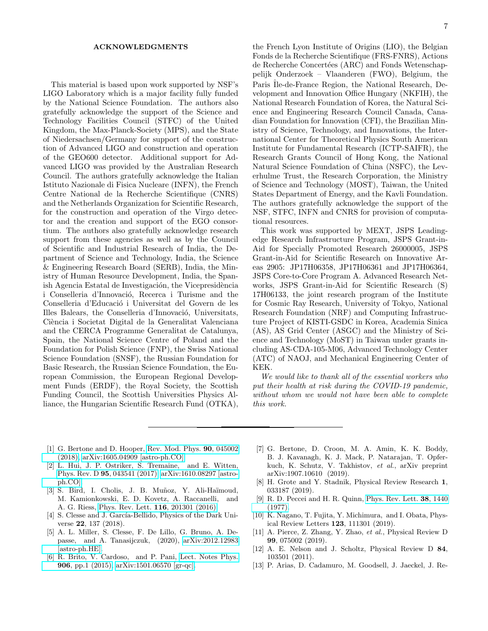#### ACKNOWLEDGMENTS

This material is based upon work supported by NSF's LIGO Laboratory which is a major facility fully funded by the National Science Foundation. The authors also gratefully acknowledge the support of the Science and Technology Facilities Council (STFC) of the United Kingdom, the Max-Planck-Society (MPS), and the State of Niedersachsen/Germany for support of the construction of Advanced LIGO and construction and operation of the GEO600 detector. Additional support for Advanced LIGO was provided by the Australian Research Council. The authors gratefully acknowledge the Italian Istituto Nazionale di Fisica Nucleare (INFN), the French Centre National de la Recherche Scientifique (CNRS) and the Netherlands Organization for Scientific Research, for the construction and operation of the Virgo detector and the creation and support of the EGO consortium. The authors also gratefully acknowledge research support from these agencies as well as by the Council of Scientific and Industrial Research of India, the Department of Science and Technology, India, the Science & Engineering Research Board (SERB), India, the Ministry of Human Resource Development, India, the Spanish Agencia Estatal de Investigación, the Vicepresidència i Conselleria d'Innovació, Recerca i Turisme and the Conselleria d'Educació i Universitat del Govern de les Illes Balears, the Conselleria d'Innovació, Universitats, Ciència i Societat Digital de la Generalitat Valenciana and the CERCA Programme Generalitat de Catalunya, Spain, the National Science Centre of Poland and the Foundation for Polish Science (FNP), the Swiss National Science Foundation (SNSF), the Russian Foundation for Basic Research, the Russian Science Foundation, the European Commission, the European Regional Development Funds (ERDF), the Royal Society, the Scottish Funding Council, the Scottish Universities Physics Alliance, the Hungarian Scientific Research Fund (OTKA),

7

the French Lyon Institute of Origins (LIO), the Belgian Fonds de la Recherche Scientifique (FRS-FNRS), Actions de Recherche Concertées (ARC) and Fonds Wetenschappelijk Onderzoek – Vlaanderen (FWO), Belgium, the Paris Ile-de-France Region, the National Research, Development and Innovation Office Hungary (NKFIH), the National Research Foundation of Korea, the Natural Science and Engineering Research Council Canada, Canadian Foundation for Innovation (CFI), the Brazilian Ministry of Science, Technology, and Innovations, the International Center for Theoretical Physics South American Institute for Fundamental Research (ICTP-SAIFR), the Research Grants Council of Hong Kong, the National Natural Science Foundation of China (NSFC), the Leverhulme Trust, the Research Corporation, the Ministry of Science and Technology (MOST), Taiwan, the United States Department of Energy, and the Kavli Foundation. The authors gratefully acknowledge the support of the NSF, STFC, INFN and CNRS for provision of computational resources.

This work was supported by MEXT, JSPS Leadingedge Research Infrastructure Program, JSPS Grant-in-Aid for Specially Promoted Research 26000005, JSPS Grant-in-Aid for Scientific Research on Innovative Areas 2905: JP17H06358, JP17H06361 and JP17H06364, JSPS Core-to-Core Program A. Advanced Research Networks, JSPS Grant-in-Aid for Scientific Research (S) 17H06133, the joint research program of the Institute for Cosmic Ray Research, University of Tokyo, National Research Foundation (NRF) and Computing Infrastructure Project of KISTI-GSDC in Korea, Academia Sinica (AS), AS Grid Center (ASGC) and the Ministry of Science and Technology (MoST) in Taiwan under grants including AS-CDA-105-M06, Advanced Technology Center (ATC) of NAOJ, and Mechanical Engineering Center of KEK.

We would like to thank all of the essential workers who put their health at risk during the COVID-19 pandemic, without whom we would not have been able to complete this work.

- <span id="page-6-0"></span>[1] G. Bertone and D. Hooper, [Rev. Mod. Phys.](http://dx.doi.org/10.1103/RevModPhys.90.045002) 90, 045002 [\(2018\),](http://dx.doi.org/10.1103/RevModPhys.90.045002) [arXiv:1605.04909 \[astro-ph.CO\].](http://arxiv.org/abs/1605.04909)
- <span id="page-6-1"></span>[2] L. Hui, J. P. Ostriker, S. Tremaine, and E. Witten, Phys. Rev. D 95[, 043541 \(2017\),](http://dx.doi.org/10.1103/PhysRevD.95.043541) [arXiv:1610.08297 \[astro](http://arxiv.org/abs/1610.08297)[ph.CO\].](http://arxiv.org/abs/1610.08297)
- <span id="page-6-2"></span>[3] S. Bird, I. Cholis, J. B. Muñoz, Y. Ali-Haïmoud, M. Kamionkowski, E. D. Kovetz, A. Raccanelli, and A. G. Riess, [Phys. Rev. Lett.](http://dx.doi.org/ 10.1103/PhysRevLett.116.201301) 116, 201301 (2016).
- [4] S. Clesse and J. García-Bellido, Physics of the Dark Universe 22, 137 (2018).
- <span id="page-6-3"></span>[5] A. L. Miller, S. Clesse, F. De Lillo, G. Bruno, A. Depasse, and A. Tanasijczuk, (2020), [arXiv:2012.12983](http://arxiv.org/abs/2012.12983) [\[astro-ph.HE\].](http://arxiv.org/abs/2012.12983)
- <span id="page-6-4"></span>[6] R. Brito, V. Cardoso, and P. Pani, [Lect. Notes Phys.](http://dx.doi.org/10.1007/978-3-319-19000-6) 906[, pp.1 \(2015\),](http://dx.doi.org/10.1007/978-3-319-19000-6) [arXiv:1501.06570 \[gr-qc\].](http://arxiv.org/abs/1501.06570)
- <span id="page-6-5"></span>[7] G. Bertone, D. Croon, M. A. Amin, K. K. Boddy, B. J. Kavanagh, K. J. Mack, P. Natarajan, T. Opferkuch, K. Schutz, V. Takhistov, et al., arXiv preprint arXiv:1907.10610 (2019).
- <span id="page-6-6"></span>[8] H. Grote and Y. Stadnik, Physical Review Research 1, 033187 (2019).
- <span id="page-6-7"></span>[9] R. D. Peccei and H. R. Quinn, [Phys. Rev. Lett.](http://dx.doi.org/10.1103/PhysRevLett.38.1440) 38, 1440 [\(1977\).](http://dx.doi.org/10.1103/PhysRevLett.38.1440)
- <span id="page-6-8"></span>[10] K. Nagano, T. Fujita, Y. Michimura, and I. Obata, Physical Review Letters 123, 111301 (2019).
- <span id="page-6-9"></span>[11] A. Pierce, Z. Zhang, Y. Zhao, et al., Physical Review D 99, 075002 (2019).
- <span id="page-6-10"></span>[12] A. E. Nelson and J. Scholtz, Physical Review D 84, 103501 (2011).
- [13] P. Arias, D. Cadamuro, M. Goodsell, J. Jaeckel, J. Re-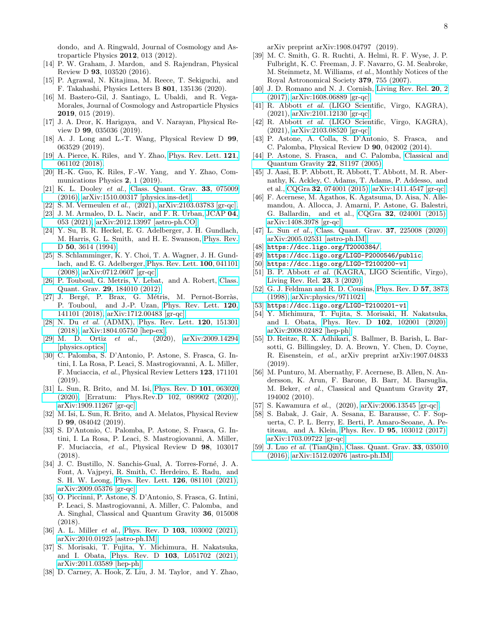dondo, and A. Ringwald, Journal of Cosmology and Astroparticle Physics 2012, 013 (2012).

- <span id="page-7-0"></span>[14] P. W. Graham, J. Mardon, and S. Rajendran, Physical Review D 93, 103520 (2016).
- <span id="page-7-1"></span>[15] P. Agrawal, N. Kitajima, M. Reece, T. Sekiguchi, and F. Takahashi, Physics Letters B 801, 135136 (2020).
- [16] M. Bastero-Gil, J. Santiago, L. Ubaldi, and R. Vega-Morales, Journal of Cosmology and Astroparticle Physics 2019, 015 (2019).
- <span id="page-7-2"></span>[17] J. A. Dror, K. Harigaya, and V. Narayan, Physical Review D 99, 035036 (2019).
- <span id="page-7-3"></span>[18] A. J. Long and L.-T. Wang, Physical Review D 99, 063529 (2019).
- <span id="page-7-4"></span>[19] A. Pierce, K. Riles, and Y. Zhao, [Phys. Rev. Lett.](http://dx.doi.org/10.1103/PhysRevLett.121.061102) 121, [061102 \(2018\).](http://dx.doi.org/10.1103/PhysRevLett.121.061102)
- <span id="page-7-5"></span>[20] H.-K. Guo, K. Riles, F.-W. Yang, and Y. Zhao, Communications Physics 2, 1 (2019).
- <span id="page-7-6"></span>[21] K. L. Dooley et al., [Class. Quant. Grav.](http://dx.doi.org/10.1088/0264-9381/33/7/075009) 33, 075009 [\(2016\),](http://dx.doi.org/10.1088/0264-9381/33/7/075009) [arXiv:1510.00317 \[physics.ins-det\].](http://arxiv.org/abs/1510.00317)
- <span id="page-7-7"></span>[22] S. M. Vermeulen et al., (2021), [arXiv:2103.03783 \[gr-qc\].](http://arxiv.org/abs/2103.03783)
- <span id="page-7-8"></span>[23] J. M. Armaleo, D. L. Nacir, and F. R. Urban, [JCAP](http://dx.doi.org/10.1088/1475-7516/2021/04/053) 04, [053 \(2021\),](http://dx.doi.org/10.1088/1475-7516/2021/04/053) [arXiv:2012.13997 \[astro-ph.CO\].](http://arxiv.org/abs/2012.13997)
- <span id="page-7-9"></span>[24] Y. Su, B. R. Heckel, E. G. Adelberger, J. H. Gundlach, M. Harris, G. L. Smith, and H. E. Swanson, [Phys. Rev.](http://dx.doi.org/ 10.1103/PhysRevD.50.3614) D 50[, 3614 \(1994\).](http://dx.doi.org/ 10.1103/PhysRevD.50.3614)
- <span id="page-7-10"></span>[25] S. Schlamminger, K. Y. Choi, T. A. Wagner, J. H. Gundlach, and E. G. Adelberger, [Phys. Rev. Lett.](http://dx.doi.org/10.1103/PhysRevLett.100.041101) 100, 041101 [\(2008\),](http://dx.doi.org/10.1103/PhysRevLett.100.041101) [arXiv:0712.0607 \[gr-qc\].](http://arxiv.org/abs/0712.0607)
- <span id="page-7-11"></span>[26] P. Touboul, G. Metris, V. Lebat, and A. Robert, [Class.](http://dx.doi.org/ 10.1088/0264-9381/29/18/184010) Quant. Grav. 29[, 184010 \(2012\).](http://dx.doi.org/ 10.1088/0264-9381/29/18/184010)
- <span id="page-7-12"></span>[27] J. Bergé, P. Brax, G. Métris, M. Pernot-Borràs, P. Touboul, and J.-P. Uzan, [Phys. Rev. Lett.](http://dx.doi.org/ 10.1103/PhysRevLett.120.141101) 120, [141101 \(2018\),](http://dx.doi.org/ 10.1103/PhysRevLett.120.141101) [arXiv:1712.00483 \[gr-qc\].](http://arxiv.org/abs/1712.00483)
- <span id="page-7-13"></span>[28] N. Du et al. (ADMX), [Phys. Rev. Lett.](http://dx.doi.org/ 10.1103/PhysRevLett.120.151301) **120**, 151301 [\(2018\),](http://dx.doi.org/ 10.1103/PhysRevLett.120.151301) [arXiv:1804.05750 \[hep-ex\].](http://arxiv.org/abs/1804.05750)
- <span id="page-7-14"></span>[29] M. D. Ortiz et al., (2020), [arXiv:2009.14294](http://arxiv.org/abs/2009.14294) [\[physics.optics\].](http://arxiv.org/abs/2009.14294)
- <span id="page-7-15"></span>[30] C. Palomba, S. D'Antonio, P. Astone, S. Frasca, G. Intini, I. La Rosa, P. Leaci, S. Mastrogiovanni, A. L. Miller, F. Muciaccia, et al., Physical Review Letters 123, 171101 (2019).
- [31] L. Sun, R. Brito, and M. Isi, [Phys. Rev. D](http://dx.doi.org/ 10.1103/PhysRevD.101.063020) 101, 063020 [\(2020\),](http://dx.doi.org/ 10.1103/PhysRevD.101.063020) [Erratum: Phys.Rev.D 102, 089902 (2020)], [arXiv:1909.11267 \[gr-qc\].](http://arxiv.org/abs/1909.11267)
- [32] M. Isi, L. Sun, R. Brito, and A. Melatos, Physical Review D 99, 084042 (2019).
- <span id="page-7-16"></span>[33] S. D'Antonio, C. Palomba, P. Astone, S. Frasca, G. Intini, I. La Rosa, P. Leaci, S. Mastrogiovanni, A. Miller, F. Muciaccia, et al., Physical Review D 98, 103017 (2018).
- <span id="page-7-17"></span>[34] J. C. Bustillo, N. Sanchis-Gual, A. Torres-Forné, J. A. Font, A. Vajpeyi, R. Smith, C. Herdeiro, E. Radu, and S. H. W. Leong, [Phys. Rev. Lett.](http://dx.doi.org/ 10.1103/PhysRevLett.126.081101) 126, 081101 (2021), [arXiv:2009.05376 \[gr-qc\].](http://arxiv.org/abs/2009.05376)
- <span id="page-7-18"></span>[35] O. Piccinni, P. Astone, S. D'Antonio, S. Frasca, G. Intini, P. Leaci, S. Mastrogiovanni, A. Miller, C. Palomba, and A. Singhal, Classical and Quantum Gravity 36, 015008 (2018).
- <span id="page-7-19"></span>[36] A. L. Miller et al., Phys. Rev. D 103[, 103002 \(2021\),](http://dx.doi.org/10.1103/PhysRevD.103.103002) [arXiv:2010.01925 \[astro-ph.IM\].](http://arxiv.org/abs/2010.01925)
- <span id="page-7-20"></span>[37] S. Morisaki, T. Fujita, Y. Michimura, H. Nakatsuka, and I. Obata, Phys. Rev. D 103[, L051702 \(2021\),](http://dx.doi.org/ 10.1103/PhysRevD.103.L051702) [arXiv:2011.03589 \[hep-ph\].](http://arxiv.org/abs/2011.03589)
- <span id="page-7-21"></span>[38] D. Carney, A. Hook, Z. Liu, J. M. Taylor, and Y. Zhao,

arXiv preprint arXiv:1908.04797 (2019).

- <span id="page-7-22"></span>[39] M. C. Smith, G. R. Ruchti, A. Helmi, R. F. Wyse, J. P. Fulbright, K. C. Freeman, J. F. Navarro, G. M. Seabroke, M. Steinmetz, M. Williams, et al., Monthly Notices of the Royal Astronomical Society 379, 755 (2007).
- <span id="page-7-23"></span>[40] J. D. Romano and N. J. Cornish, [Living Rev. Rel.](http://dx.doi.org/10.1007/s41114-017-0004-1) 20, 2 [\(2017\),](http://dx.doi.org/10.1007/s41114-017-0004-1) [arXiv:1608.06889 \[gr-qc\].](http://arxiv.org/abs/1608.06889)
- <span id="page-7-32"></span>[41] R. Abbott et al. (LIGO Scientific, Virgo, KAGRA), (2021), [arXiv:2101.12130 \[gr-qc\].](http://arxiv.org/abs/2101.12130)
- <span id="page-7-24"></span>[42] R. Abbott et al. (LIGO Scientific, Virgo, KAGRA), (2021), [arXiv:2103.08520 \[gr-qc\].](http://arxiv.org/abs/2103.08520)
- <span id="page-7-25"></span>[43] P. Astone, A. Colla, S. D'Antonio, S. Frasca, and C. Palomba, Physical Review D 90, 042002 (2014).
- <span id="page-7-26"></span>[44] P. Astone, S. Frasca, and C. Palomba, [Classical and](http://stacks.iop.org/0264-9381/22/i=18/a=S34) [Quantum Gravity](http://stacks.iop.org/0264-9381/22/i=18/a=S34) 22, S1197 (2005).
- <span id="page-7-27"></span>[45] J. Aasi, B. P. Abbott, R. Abbott, T. Abbott, M. R. Abernathy, K. Ackley, C. Adams, T. Adams, P. Addesso, and et al., CQGra 32[, 074001 \(2015\),](http://dx.doi.org/10.1088/0264-9381/32/7/074001) [arXiv:1411.4547 \[gr-qc\].](http://arxiv.org/abs/1411.4547)
- <span id="page-7-28"></span>[46] F. Acernese, M. Agathos, K. Agatsuma, D. Aisa, N. Allemandou, A. Allocca, J. Amarni, P. Astone, G. Balestri, G. Ballardin, and et al., CQGra 32[, 024001 \(2015\),](http://dx.doi.org/10.1088/0264-9381/32/2/024001) [arXiv:1408.3978 \[gr-qc\].](http://arxiv.org/abs/1408.3978)
- <span id="page-7-29"></span>[47] L. Sun et al., [Class. Quant. Grav.](http://dx.doi.org/10.1088/1361-6382/abb14e) **37**, 225008 (2020), [arXiv:2005.02531 \[astro-ph.IM\].](http://arxiv.org/abs/2005.02531)
- <span id="page-7-30"></span>[48] <https://dcc.ligo.org/T2000384/>.
- <span id="page-7-31"></span>[49] <https://dcc.ligo.org/LIGO-P2000546/public>.
- <span id="page-7-33"></span>[50] <https://dcc.ligo.org/LIGO-T2100200-v1>.
- <span id="page-7-34"></span>[51] B. P. Abbott et al. (KAGRA, LIGO Scientific, Virgo), [Living Rev. Rel.](http://dx.doi.org/10.1007/s41114-020-00026-9) 23, 3 (2020).
- <span id="page-7-35"></span>[52] G. J. Feldman and R. D. Cousins, [Phys. Rev. D](http://dx.doi.org/10.1103/PhysRevD.57.3873) 57, 3873 [\(1998\),](http://dx.doi.org/10.1103/PhysRevD.57.3873) [arXiv:physics/9711021.](http://arxiv.org/abs/physics/9711021)
- <span id="page-7-41"></span>[53] <https://dcc.ligo.org/LIGO-T2100201-v1>.
- <span id="page-7-42"></span>[54] Y. Michimura, T. Fujita, S. Morisaki, H. Nakatsuka, and I. Obata, Phys. Rev. D 102[, 102001 \(2020\),](http://dx.doi.org/ 10.1103/PhysRevD.102.102001) [arXiv:2008.02482 \[hep-ph\].](http://arxiv.org/abs/2008.02482)
- <span id="page-7-36"></span>[55] D. Reitze, R. X. Adhikari, S. Ballmer, B. Barish, L. Barsotti, G. Billingsley, D. A. Brown, Y. Chen, D. Coyne, R. Eisenstein, et al., arXiv preprint arXiv:1907.04833 (2019).
- <span id="page-7-37"></span>[56] M. Punturo, M. Abernathy, F. Acernese, B. Allen, N. Andersson, K. Arun, F. Barone, B. Barr, M. Barsuglia, M. Beker, et al., Classical and Quantum Gravity 27, 194002 (2010).
- <span id="page-7-38"></span>[57] S. Kawamura et al., (2020), [arXiv:2006.13545 \[gr-qc\].](http://arxiv.org/abs/2006.13545)
- <span id="page-7-39"></span>[58] S. Babak, J. Gair, A. Sesana, E. Barausse, C. F. Sopuerta, C. P. L. Berry, E. Berti, P. Amaro-Seoane, A. Petiteau, and A. Klein, Phys. Rev. D 95[, 103012 \(2017\),](http://dx.doi.org/10.1103/PhysRevD.95.103012) [arXiv:1703.09722 \[gr-qc\].](http://arxiv.org/abs/1703.09722)
- <span id="page-7-40"></span>[59] J. Luo et al. (TianQin), [Class. Quant. Grav.](http://dx.doi.org/ 10.1088/0264-9381/33/3/035010) **33**, 035010 [\(2016\),](http://dx.doi.org/ 10.1088/0264-9381/33/3/035010) [arXiv:1512.02076 \[astro-ph.IM\].](http://arxiv.org/abs/1512.02076)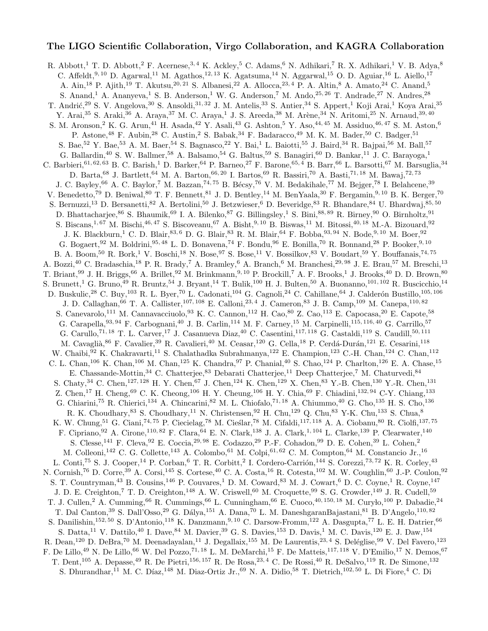# The LIGO Scientific Collaboration, Virgo Collaboration, and KAGRA Collaboration

R. Abbott,<sup>1</sup> T. D. Abbott,<sup>2</sup> F. Acernese,<sup>3,4</sup> K. Ackley,<sup>5</sup> C. Adams,<sup>6</sup> N. Adhikari,<sup>7</sup> R. X. Adhikari,<sup>1</sup> V. B. Adya,<sup>8</sup> C. Affeldt,<sup>9, 10</sup> D. Agarwal,<sup>11</sup> M. Agathos,<sup>12, 13</sup> K. Agatsuma,<sup>14</sup> N. Aggarwal,<sup>15</sup> O. D. Aguiar,<sup>16</sup> L. Aiello,<sup>17</sup> A. Ain,<sup>18</sup> P. Ajith,<sup>19</sup> T. Akutsu,<sup>20, 21</sup> S. Albanesi,<sup>22</sup> A. Allocca,<sup>23,4</sup> P. A. Altin,<sup>8</sup> A. Amato,<sup>24</sup> C. Anand,<sup>5</sup> S. Anand,<sup>1</sup> A. Ananyeva,<sup>1</sup> S. B. Anderson,<sup>1</sup> W. G. Anderson,<sup>7</sup> M. Ando,<sup>25, 26</sup> T. Andrade,<sup>27</sup> N. Andres,<sup>28</sup> T. Andrić,<sup>29</sup> S. V. Angelova,<sup>30</sup> S. Ansoldi,<sup>31, 32</sup> J. M. Antelis,<sup>33</sup> S. Antier,<sup>34</sup> S. Appert,<sup>1</sup> Koji Arai,<sup>1</sup> Koya Arai,<sup>35</sup> Y. Arai,<sup>35</sup> S. Araki,<sup>36</sup> A. Araya,<sup>37</sup> M. C. Araya,<sup>1</sup> J. S. Areeda,<sup>38</sup> M. Arène,<sup>34</sup> N. Aritomi,<sup>25</sup> N. Arnaud,<sup>39, 40</sup> S. M. Aronson,<sup>2</sup> K. G. Arun,<sup>41</sup> H. Asada,<sup>42</sup> Y. Asali,<sup>43</sup> G. Ashton,<sup>5</sup> Y. Aso,<sup>44,45</sup> M. Assiduo,<sup>46,47</sup> S. M. Aston,<sup>6</sup> P. Astone,<sup>48</sup> F. Aubin,<sup>28</sup> C. Austin,<sup>2</sup> S. Babak,<sup>34</sup> F. Badaracco,<sup>49</sup> M. K. M. Bader,<sup>50</sup> C. Badger,<sup>51</sup> S. Bae,<sup>52</sup> Y. Bae,<sup>53</sup> A. M. Baer,<sup>54</sup> S. Bagnasco,<sup>22</sup> Y. Bai,<sup>1</sup> L. Baiotti,<sup>55</sup> J. Baird,<sup>34</sup> R. Bajpai,<sup>56</sup> M. Ball,<sup>57</sup> G. Ballardin,<sup>40</sup> S. W. Ballmer,<sup>58</sup> A. Balsamo,<sup>54</sup> G. Baltus,<sup>59</sup> S. Banagiri,<sup>60</sup> D. Bankar,<sup>11</sup> J. C. Barayoga,<sup>1</sup> C. Barbieri,<sup>61, 62, 63</sup> B. C. Barish,<sup>1</sup> D. Barker,<sup>64</sup> P. Barneo,<sup>27</sup> F. Barone,<sup>65, 4</sup> B. Barr,<sup>66</sup> L. Barsotti,<sup>67</sup> M. Barsuglia,<sup>34</sup> D. Barta,<sup>68</sup> J. Bartlett,<sup>64</sup> M. A. Barton,<sup>66, 20</sup> I. Bartos,<sup>69</sup> R. Bassiri,<sup>70</sup> A. Basti,<sup>71, 18</sup> M. Bawaj,<sup>72, 73</sup> J. C. Bayley,<sup>66</sup> A. C. Baylor,<sup>7</sup> M. Bazzan,<sup>74, 75</sup> B. Bécsy,<sup>76</sup> V. M. Bedakihale,<sup>77</sup> M. Bejger,<sup>78</sup> I. Belahcene,<sup>39</sup> V. Benedetto,<sup>79</sup> D. Beniwal,<sup>80</sup> T. F. Bennett,<sup>81</sup> J. D. Bentley,<sup>14</sup> M. BenYaala,<sup>30</sup> F. Bergamin,<sup>9,10</sup> B. K. Berger,<sup>70</sup> S. Bernuzzi,<sup>13</sup> D. Bersanetti,<sup>82</sup> A. Bertolini,<sup>50</sup> J. Betzwieser,<sup>6</sup> D. Beveridge,<sup>83</sup> R. Bhandare,<sup>84</sup> U. Bhardwaj,<sup>85, 50</sup> D. Bhattacharjee,<sup>86</sup> S. Bhaumik,<sup>69</sup> I. A. Bilenko,<sup>87</sup> G. Billingsley,<sup>1</sup> S. Bini,<sup>88,89</sup> R. Birney,<sup>90</sup> O. Birnholtz,<sup>91</sup> S. Biscans,<sup>1, 67</sup> M. Bischi,<sup>46, 47</sup> S. Biscoveanu,<sup>67</sup> A. Bisht,<sup>9, 10</sup> B. Biswas,<sup>11</sup> M. Bitossi,<sup>40, 18</sup> M.-A. Bizouard,<sup>92</sup> J. K. Blackburn,<sup>1</sup> C. D. Blair,<sup>83, 6</sup> D. G. Blair,<sup>83</sup> R. M. Blair,<sup>64</sup> F. Bobba,<sup>93, 94</sup> N. Bode,<sup>9, 10</sup> M. Boer,<sup>92</sup> G. Bogaert, <sup>92</sup> M. Boldrini, <sup>95, 48</sup> L. D. Bonavena, <sup>74</sup> F. Bondu, <sup>96</sup> E. Bonilla, <sup>70</sup> R. Bonnand, <sup>28</sup> P. Booker, <sup>9, 10</sup> B. A. Boom,<sup>50</sup> R. Bork,<sup>1</sup> V. Boschi,<sup>18</sup> N. Bose,<sup>97</sup> S. Bose,<sup>11</sup> V. Bossilkov,<sup>83</sup> V. Boudart,<sup>59</sup> Y. Bouffanais,<sup>74,75</sup> A. Bozzi,<sup>40</sup> C. Bradaschia,<sup>18</sup> P. R. Brady,<sup>7</sup> A. Bramley,<sup>6</sup> A. Branch,<sup>6</sup> M. Branchesi,<sup>29, 98</sup> J. E. Brau,<sup>57</sup> M. Breschi,<sup>13</sup> T. Briant,<sup>99</sup> J. H. Briggs,<sup>66</sup> A. Brillet,<sup>92</sup> M. Brinkmann,<sup>9, 10</sup> P. Brockill,<sup>7</sup> A. F. Brooks,<sup>1</sup> J. Brooks,<sup>40</sup> D. D. Brown,<sup>80</sup> S. Brunett,<sup>1</sup> G. Bruno,<sup>49</sup> R. Bruntz,<sup>54</sup> J. Bryant,<sup>14</sup> T. Bulik,<sup>100</sup> H. J. Bulten,<sup>50</sup> A. Buonanno,<sup>101, 102</sup> R. Buscicchio,<sup>14</sup> D. Buskulic,<sup>28</sup> C. Buy,<sup>103</sup> R. L. Byer,<sup>70</sup> L. Cadonati,<sup>104</sup> G. Cagnoli,<sup>24</sup> C. Cahillane,<sup>64</sup> J. Calderón Bustillo,<sup>105, 106</sup> J. D. Callaghan,<sup>66</sup> T. A. Callister,<sup>107, 108</sup> E. Calloni,<sup>23, 4</sup> J. Cameron,<sup>83</sup> J. B. Camp,<sup>109</sup> M. Canepa,<sup>110,82</sup> S. Canevarolo,<sup>111</sup> M. Cannavacciuolo,<sup>93</sup> K. C. Cannon,<sup>112</sup> H. Cao,<sup>80</sup> Z. Cao,<sup>113</sup> E. Capocasa,<sup>20</sup> E. Capote,<sup>58</sup> G. Carapella, <sup>93, 94</sup> F. Carbognani, <sup>40</sup> J. B. Carlin, <sup>114</sup> M. F. Carney, <sup>15</sup> M. Carpinelli, <sup>115, 116, 40</sup> G. Carrillo, <sup>57</sup> G. Carullo,<sup>71, 18</sup> T. L. Carver,<sup>17</sup> J. Casanueva Diaz,<sup>40</sup> C. Casentini,<sup>117, 118</sup> G. Castaldi,<sup>119</sup> S. Caudill,<sup>50, 111</sup> M. Cavaglià,<sup>86</sup> F. Cavalier,<sup>39</sup> R. Cavalieri,<sup>40</sup> M. Ceasar,<sup>120</sup> G. Cella,<sup>18</sup> P. Cerdá-Durán,<sup>121</sup> E. Cesarini,<sup>118</sup> W. Chaibi,<sup>92</sup> K. Chakravarti,<sup>11</sup> S. Chalathadka Subrahmanya,<sup>122</sup> E. Champion,<sup>123</sup> C.-H. Chan,<sup>124</sup> C. Chan,<sup>112</sup> C. L. Chan,<sup>106</sup> K. Chan,<sup>106</sup> M. Chan,<sup>125</sup> K. Chandra,<sup>97</sup> P. Chanial,<sup>40</sup> S. Chao,<sup>124</sup> P. Charlton,<sup>126</sup> E. A. Chase,<sup>15</sup> E. Chassande-Mottin,<sup>34</sup> C. Chatterjee,<sup>83</sup> Debarati Chatterjee,<sup>11</sup> Deep Chatterjee,<sup>7</sup> M. Chaturvedi,<sup>84</sup> S. Chaty,<sup>34</sup> C. Chen,<sup>127, 128</sup> H. Y. Chen,<sup>67</sup> J. Chen,<sup>124</sup> K. Chen,<sup>129</sup> X. Chen,<sup>83</sup> Y.-B. Chen,<sup>130</sup> Y.-R. Chen,<sup>131</sup> Z. Chen,<sup>17</sup> H. Cheng,<sup>69</sup> C. K. Cheong,<sup>106</sup> H. Y. Cheung,<sup>106</sup> H. Y. Chia,<sup>69</sup> F. Chiadini,<sup>132,94</sup> C-Y. Chiang,<sup>133</sup> G. Chiarini,<sup>75</sup> R. Chierici,<sup>134</sup> A. Chincarini,<sup>82</sup> M. L. Chiofalo,<sup>71, 18</sup> A. Chiummo,<sup>40</sup> G. Cho,<sup>135</sup> H. S. Cho,<sup>136</sup> R. K. Choudhary,  $83$  S. Choudhary,  $11$  N. Christensen,  $92$  H. Chu,  $129$  Q. Chu,  $83$  Y-K. Chu,  $133$  S. Chua,  $8$ K. W. Chung,<sup>51</sup> G. Ciani,<sup>74, 75</sup> P. Ciecielag,<sup>78</sup> M. Cieślar,<sup>78</sup> M. Cifaldi,<sup>117, 118</sup> A. A. Ciobanu,<sup>80</sup> R. Ciolfi,<sup>137, 75</sup> F. Cipriano, <sup>92</sup> A. Cirone, <sup>110, 82</sup> F. Clara, <sup>64</sup> E. N. Clark, <sup>138</sup> J. A. Clark, <sup>1, 104</sup> L. Clarke, <sup>139</sup> P. Clearwater, <sup>140</sup> S. Clesse,<sup>141</sup> F. Cleva,<sup>92</sup> E. Coccia,<sup>29,98</sup> E. Codazzo,<sup>29</sup> P.-F. Cohadon,<sup>99</sup> D. E. Cohen,<sup>39</sup> L. Cohen,<sup>2</sup> M. Colleoni,<sup>142</sup> C. G. Collette,<sup>143</sup> A. Colombo,<sup>61</sup> M. Colpi,<sup>61,62</sup> C. M. Compton,<sup>64</sup> M. Constancio Jr.,<sup>16</sup> L. Conti,<sup>75</sup> S. J. Cooper,<sup>14</sup> P. Corban,<sup>6</sup> T. R. Corbitt,<sup>2</sup> I. Cordero-Carrión,<sup>144</sup> S. Corezzi,<sup>73,72</sup> K. R. Corley,<sup>43</sup> N. Cornish,<sup>76</sup> D. Corre,<sup>39</sup> A. Corsi,<sup>145</sup> S. Cortese,<sup>40</sup> C. A. Costa,<sup>16</sup> R. Cotesta,<sup>102</sup> M. W. Coughlin,<sup>60</sup> J.-P. Coulon,<sup>92</sup> S. T. Countryman,<sup>43</sup> B. Cousins,<sup>146</sup> P. Couvares,<sup>1</sup> D. M. Coward,<sup>83</sup> M. J. Cowart,<sup>6</sup> D. C. Coyne,<sup>1</sup> R. Coyne,<sup>147</sup> J. D. E. Creighton,<sup>7</sup> T. D. Creighton,<sup>148</sup> A. W. Criswell,<sup>60</sup> M. Croquette,<sup>99</sup> S. G. Crowder,<sup>149</sup> J. R. Cudell,<sup>59</sup> T. J. Cullen,<sup>2</sup> A. Cumming,<sup>66</sup> R. Cummings,<sup>66</sup> L. Cunningham,<sup>66</sup> E. Cuoco,<sup>40, 150, 18</sup> M. Curylo,<sup>100</sup> P. Dabadie,<sup>24</sup> T. Dal Canton,<sup>39</sup> S. Dall'Osso,<sup>29</sup> G. Dálya,<sup>151</sup> A. Dana,<sup>70</sup> L. M. DaneshgaranBajastani,<sup>81</sup> B. D'Angelo,<sup>110,82</sup> S. Danilishin,<sup>152, 50</sup> S. D'Antonio,<sup>118</sup> K. Danzmann,<sup>9, 10</sup> C. Darsow-Fromm,<sup>122</sup> A. Dasgupta,<sup>77</sup> L. E. H. Datrier,<sup>66</sup> S. Datta,<sup>11</sup> V. Dattilo,<sup>40</sup> I. Dave,<sup>84</sup> M. Davier,<sup>39</sup> G. S. Davies,<sup>153</sup> D. Davis,<sup>1</sup> M. C. Davis,<sup>120</sup> E. J. Daw,<sup>154</sup> R. Dean,<sup>120</sup> D. DeBra,<sup>70</sup> M. Deenadayalan,<sup>11</sup> J. Degallaix,<sup>155</sup> M. De Laurentis,<sup>23, 4</sup> S. Deléglise,<sup>99</sup> V. Del Favero,<sup>123</sup> F. De Lillo,<sup>49</sup> N. De Lillo,<sup>66</sup> W. Del Pozzo,<sup>71, 18</sup> L. M. DeMarchi,<sup>15</sup> F. De Matteis,<sup>117, 118</sup> V. D'Emilio,<sup>17</sup> N. Demos,<sup>67</sup> T. Dent,<sup>105</sup> A. Depasse,<sup>49</sup> R. De Pietri,<sup>156, 157</sup> R. De Rosa,<sup>23, 4</sup> C. De Rossi,<sup>40</sup> R. DeSalvo,<sup>119</sup> R. De Simone,<sup>132</sup> S. Dhurandhar,<sup>11</sup> M. C. Díaz,<sup>148</sup> M. Diaz-Ortiz Jr.,<sup>69</sup> N. A. Didio,<sup>58</sup> T. Dietrich,<sup>102,50</sup> L. Di Fiore,<sup>4</sup> C. Di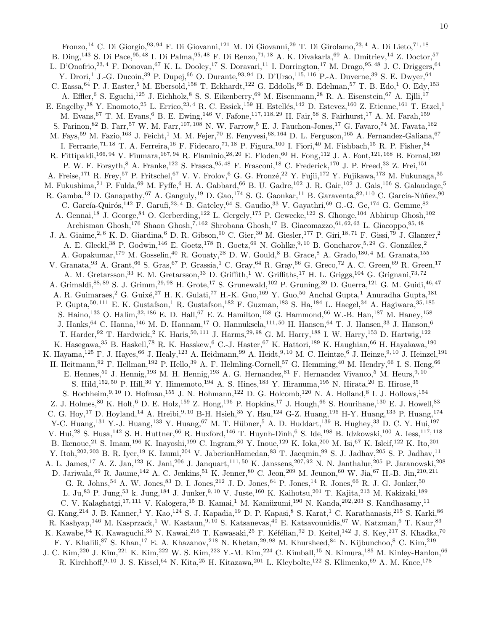Fronzo,<sup>14</sup> C. Di Giorgio,<sup>93, 94</sup> F. Di Giovanni,<sup>121</sup> M. Di Giovanni,<sup>29</sup> T. Di Girolamo,<sup>23, 4</sup> A. Di Lieto,<sup>71, 18</sup> B. Ding,<sup>143</sup> S. Di Pace,<sup>95, 48</sup> I. Di Palma,<sup>95, 48</sup> F. Di Renzo,<sup>71, 18</sup> A. K. Divakarla,<sup>69</sup> A. Dmitriev,<sup>14</sup> Z. Doctor,<sup>57</sup> L. D'Onofrio,  $^{23,4}$  F. Donovan,  $^{67}$  K. L. Dooley,  $^{17}$  S. Doravari,  $^{11}$  I. Dorrington,  $^{17}$  M. Drago,  $^{95,48}$  J. C. Driggers,  $^{64}$ Y. Drori,<sup>1</sup> J.-G. Ducoin,<sup>39</sup> P. Dupej,<sup>66</sup> O. Durante,<sup>93, 94</sup> D. D'Urso,<sup>115, 116</sup> P.-A. Duverne,<sup>39</sup> S. E. Dwyer,<sup>64</sup> C. Eassa,  $64$  P. J. Easter,<sup>5</sup> M. Ebersold,<sup>158</sup> T. Eckhardt,<sup>122</sup> G. Eddolls,<sup>66</sup> B. Edelman,<sup>57</sup> T. B. Edo,<sup>1</sup> O. Edy,<sup>153</sup> A. Effler, <sup>6</sup> S. Eguchi,<sup>125</sup> J. Eichholz, <sup>8</sup> S. S. Eikenberry, <sup>69</sup> M. Eisenmann, <sup>28</sup> R. A. Eisenstein, <sup>67</sup> A. Ejlli, <sup>17</sup> E. Engelby,<sup>38</sup> Y. Enomoto,<sup>25</sup> L. Errico,<sup>23, 4</sup> R. C. Essick,<sup>159</sup> H. Estellés,<sup>142</sup> D. Estevez,<sup>160</sup> Z. Etienne,<sup>161</sup> T. Etzel,<sup>1</sup> M. Evans,<sup>67</sup> T. M. Evans,<sup>6</sup> B. E. Ewing,<sup>146</sup> V. Fafone,<sup>117, 118, 29</sup> H. Fair,<sup>58</sup> S. Fairhurst,<sup>17</sup> A. M. Farah,<sup>159</sup> S. Farinon,<sup>82</sup> B. Farr,<sup>57</sup> W. M. Farr,<sup>107, 108</sup> N. W. Farrow,<sup>5</sup> E. J. Fauchon-Jones,<sup>17</sup> G. Favaro,<sup>74</sup> M. Favata,<sup>162</sup> M. Fays,<sup>59</sup> M. Fazio,<sup>163</sup> J. Feicht,<sup>1</sup> M. M. Fejer,<sup>70</sup> E. Fenyvesi,<sup>68, 164</sup> D. L. Ferguson,<sup>165</sup> A. Fernandez-Galiana,<sup>67</sup> I. Ferrante,<sup>71, 18</sup> T. A. Ferreira,<sup>16</sup> F. Fidecaro,<sup>71, 18</sup> P. Figura,<sup>100</sup> I. Fiori,<sup>40</sup> M. Fishbach,<sup>15</sup> R. P. Fisher,<sup>54</sup> R. Fittipaldi,<sup>166, 94</sup> V. Fiumara,<sup>167, 94</sup> R. Flaminio,<sup>28, 20</sup> E. Floden,<sup>60</sup> H. Fong,<sup>112</sup> J. A. Font,<sup>121, 168</sup> B. Fornal,<sup>169</sup> P. W. F. Forsyth,<sup>8</sup> A. Franke,<sup>122</sup> S. Frasca,<sup>95, 48</sup> F. Frasconi,<sup>18</sup> C. Frederick,<sup>170</sup> J. P. Freed,<sup>33</sup> Z. Frei,<sup>151</sup> A. Freise,<sup>171</sup> R. Frey,<sup>57</sup> P. Fritschel,<sup>67</sup> V. V. Frolov,<sup>6</sup> G. G. Fronzé,<sup>22</sup> Y. Fujii,<sup>172</sup> Y. Fujikawa,<sup>173</sup> M. Fukunaga,<sup>35</sup> M. Fukushima,<sup>21</sup> P. Fulda,<sup>69</sup> M. Fyffe,<sup>6</sup> H. A. Gabbard,<sup>66</sup> B. U. Gadre,<sup>102</sup> J. R. Gair,<sup>102</sup> J. Gais,<sup>106</sup> S. Galaudage,<sup>5</sup> R. Gamba,<sup>13</sup> D. Ganapathy,<sup>67</sup> A. Ganguly,<sup>19</sup> D. Gao,<sup>174</sup> S. G. Gaonkar,<sup>11</sup> B. Garaventa,<sup>82, 110</sup> C. García-Núñez,<sup>90</sup> C. García-Quirós,  $^{142}$  F. Garufi,  $^{23, 4}$  B. Gateley,  $^{64}$  S. Gaudio,  $^{33}$  V. Gayathri,  $^{69}$  G.-G. Ge,  $^{174}$  G. Gemme,  $^{82}$ A. Gennai,<sup>18</sup> J. George,<sup>84</sup> O. Gerberding,<sup>122</sup> L. Gergely,<sup>175</sup> P. Gewecke,<sup>122</sup> S. Ghonge,<sup>104</sup> Abhirup Ghosh,<sup>102</sup> Archisman Ghosh,<sup>176</sup> Shaon Ghosh,<sup>7, 162</sup> Shrobana Ghosh,<sup>17</sup> B. Giacomazzo,<sup>61, 62, 63</sup> L. Giacoppo,<sup>95, 48</sup> J. A. Giaime,<sup>2, 6</sup> K. D. Giardina,<sup>6</sup> D. R. Gibson,<sup>90</sup> C. Gier,<sup>30</sup> M. Giesler,<sup>177</sup> P. Giri,<sup>18,71</sup> F. Gissi,<sup>79</sup> J. Glanzer,<sup>2</sup> A. E. Gleckl,<sup>38</sup> P. Godwin,<sup>146</sup> E. Goetz,<sup>178</sup> R. Goetz,<sup>69</sup> N. Gohlke,<sup>9,10</sup> B. Goncharov,<sup>5,29</sup> G. González,<sup>2</sup> A. Gopakumar,<sup>179</sup> M. Gosselin,<sup>40</sup> R. Gouaty,<sup>28</sup> D. W. Gould,<sup>8</sup> B. Grace,<sup>8</sup> A. Grado,<sup>180, 4</sup> M. Granata,<sup>155</sup> V. Granata, <sup>93</sup> A. Grant, <sup>66</sup> S. Gras, <sup>67</sup> P. Grassia, <sup>1</sup> C. Gray, <sup>64</sup> R. Gray, <sup>66</sup> G. Greco, <sup>72</sup> A. C. Green, <sup>69</sup> R. Green, <sup>17</sup> A. M. Gretarsson,<sup>33</sup> E. M. Gretarsson,<sup>33</sup> D. Griffith,<sup>1</sup> W. Griffiths,<sup>17</sup> H. L. Griggs,<sup>104</sup> G. Grignani,<sup>73,72</sup> A. Grimaldi, 88, 89 S. J. Grimm, 29, 98 H. Grote, <sup>17</sup> S. Grunewald, <sup>102</sup> P. Gruning, <sup>39</sup> D. Guerra, <sup>121</sup> G. M. Guidi, <sup>46, 47</sup> A. R. Guimaraes,<sup>2</sup> G. Guixé,<sup>27</sup> H. K. Gulati,<sup>77</sup> H.-K. Guo,<sup>169</sup> Y. Guo,<sup>50</sup> Anchal Gupta,<sup>1</sup> Anuradha Gupta,<sup>181</sup> P. Gupta,<sup>50, 111</sup> E. K. Gustafson,<sup>1</sup> R. Gustafson,<sup>182</sup> F. Guzman,<sup>183</sup> S. Ha,<sup>184</sup> L. Haegel,<sup>34</sup> A. Hagiwara,<sup>35, 185</sup> S. Haino,<sup>133</sup> O. Halim,<sup>32, 186</sup> E. D. Hall,<sup>67</sup> E. Z. Hamilton,<sup>158</sup> G. Hammond,<sup>66</sup> W.-B. Han,<sup>187</sup> M. Haney,<sup>158</sup> J. Hanks, <sup>64</sup> C. Hanna, <sup>146</sup> M. D. Hannam, <sup>17</sup> O. Hannuksela, <sup>111, 50</sup> H. Hansen, <sup>64</sup> T. J. Hansen, <sup>33</sup> J. Hanson, <sup>6</sup> T. Harder, <sup>92</sup> T. Hardwick,<sup>2</sup> K. Haris, <sup>50, 111</sup> J. Harms, <sup>29, 98</sup> G. M. Harry, <sup>188</sup> I. W. Harry, <sup>153</sup> D. Hartwig, <sup>122</sup> K. Hasegawa,<sup>35</sup> B. Haskell,<sup>78</sup> R. K. Hasskew,<sup>6</sup> C.-J. Haster,<sup>67</sup> K. Hattori,<sup>189</sup> K. Haughian,<sup>66</sup> H. Hayakawa,<sup>190</sup> K. Hayama,<sup>125</sup> F. J. Hayes,<sup>66</sup> J. Healy,<sup>123</sup> A. Heidmann,<sup>99</sup> A. Heidt,<sup>9, 10</sup> M. C. Heintze,<sup>6</sup> J. Heinze,<sup>9, 10</sup> J. Heinzel,<sup>191</sup> H. Heitmann,<sup>92</sup> F. Hellman,<sup>192</sup> P. Hello,<sup>39</sup> A. F. Helmling-Cornell,<sup>57</sup> G. Hemming,<sup>40</sup> M. Hendry,<sup>66</sup> I. S. Heng,<sup>66</sup> E. Hennes,<sup>50</sup> J. Hennig,<sup>193</sup> M. H. Hennig,<sup>193</sup> A. G. Hernandez,<sup>81</sup> F. Hernandez Vivanco,<sup>5</sup> M. Heurs,<sup>9,10</sup> S. Hild,<sup>152, 50</sup> P. Hill,<sup>30</sup> Y. Himemoto,<sup>194</sup> A. S. Hines,<sup>183</sup> Y. Hiranuma,<sup>195</sup> N. Hirata,<sup>20</sup> E. Hirose,<sup>35</sup> S. Hochheim,<sup>9, 10</sup> D. Hofman,<sup>155</sup> J. N. Hohmann,<sup>122</sup> D. G. Holcomb,<sup>120</sup> N. A. Holland,<sup>8</sup> I. J. Hollows,<sup>154</sup> Z. J. Holmes,  $80\,$  K. Holt,  $^6$  D. E. Holz,  $^{159}$  Z. Hong,  $^{196}$  P. Hopkins,  $^{17}$  J. Hough,  $^{66}$  S. Hourihane,  $^{130}$  E. J. Howell,  $^{83}$ C. G. Hoy,<sup>17</sup> D. Hoyland,<sup>14</sup> A. Hreibi,<sup>9, 10</sup> B-H. Hsieh,<sup>35</sup> Y. Hsu,<sup>124</sup> G-Z. Huang,<sup>196</sup> H-Y. Huang,<sup>133</sup> P. Huang,<sup>174</sup> Y-C. Huang,<sup>131</sup> Y.-J. Huang,<sup>133</sup> Y. Huang,<sup>67</sup> M. T. Hübner,<sup>5</sup> A. D. Huddart,<sup>139</sup> B. Hughey,<sup>33</sup> D. C. Y. Hui,<sup>197</sup> V. Hui,<sup>28</sup> S. Husa,<sup>142</sup> S. H. Huttner,<sup>66</sup> R. Huxford,<sup>146</sup> T. Huynh-Dinh,<sup>6</sup> S. Ide,<sup>198</sup> B. Idzkowski,<sup>100</sup> A. Iess,<sup>117,118</sup> B. Ikenoue,<sup>21</sup> S. Imam,<sup>196</sup> K. Inayoshi,<sup>199</sup> C. Ingram,<sup>80</sup> Y. Inoue,<sup>129</sup> K. Ioka,<sup>200</sup> M. Isi,<sup>67</sup> K. Isleif,<sup>122</sup> K. Ito,<sup>201</sup> Y. Itoh,<sup>202, 203</sup> B. R. Iyer,<sup>19</sup> K. Izumi,<sup>204</sup> V. JaberianHamedan,<sup>83</sup> T. Jacqmin,<sup>99</sup> S. J. Jadhav,<sup>205</sup> S. P. Jadhav,<sup>11</sup> A. L. James,<sup>17</sup> A. Z. Jan,<sup>123</sup> K. Jani,<sup>206</sup> J. Janquart,<sup>111,50</sup> K. Janssens,<sup>207,92</sup> N. N. Janthalur,<sup>205</sup> P. Jaranowski,<sup>208</sup> D. Jariwala,<sup>69</sup> R. Jaume,<sup>142</sup> A. C. Jenkins,<sup>51</sup> K. Jenner,<sup>80</sup> C. Jeon,<sup>209</sup> M. Jeunon,<sup>60</sup> W. Jia,<sup>67</sup> H.-B. Jin,<sup>210,211</sup> G. R. Johns,<sup>54</sup> A. W. Jones,<sup>83</sup> D. I. Jones,<sup>212</sup> J. D. Jones,<sup>64</sup> P. Jones,<sup>14</sup> R. Jones,<sup>66</sup> R. J. G. Jonker,<sup>50</sup> L. Ju,<sup>83</sup> P. Jung,<sup>53</sup> k. Jung,<sup>184</sup> J. Junker,<sup>9, 10</sup> V. Juste,<sup>160</sup> K. Kaihotsu,<sup>201</sup> T. Kajita,<sup>213</sup> M. Kakizaki,<sup>189</sup> C. V. Kalaghatgi,<sup>17, 111</sup> V. Kalogera,<sup>15</sup> B. Kamai,<sup>1</sup> M. Kamiizumi,<sup>190</sup> N. Kanda,<sup>202, 203</sup> S. Kandhasamy,<sup>11</sup> G. Kang, <sup>214</sup> J. B. Kanner,<sup>1</sup> Y. Kao, <sup>124</sup> S. J. Kapadia, <sup>19</sup> D. P. Kapasi, <sup>8</sup> S. Karat, <sup>1</sup> C. Karathanasis, <sup>215</sup> S. Karki, <sup>86</sup> R. Kashyap,<sup>146</sup> M. Kasprzack,<sup>1</sup> W. Kastaun,<sup>9, 10</sup> S. Katsanevas,<sup>40</sup> E. Katsavounidis,<sup>67</sup> W. Katzman,<sup>6</sup> T. Kaur,<sup>83</sup> K. Kawabe, <sup>64</sup> K. Kawaguchi, <sup>35</sup> N. Kawai, <sup>216</sup> T. Kawasaki, <sup>25</sup> F. Kéfélian, <sup>92</sup> D. Keitel, <sup>142</sup> J. S. Key, <sup>217</sup> S. Khadka, <sup>70</sup> F. Y. Khalili,<sup>87</sup> S. Khan,<sup>17</sup> E. A. Khazanov,<sup>218</sup> N. Khetan,<sup>29,98</sup> M. Khursheed,<sup>84</sup> N. Kijbunchoo,<sup>8</sup> C. Kim,<sup>219</sup> J. C. Kim,<sup>220</sup> J. Kim,<sup>221</sup> K. Kim,<sup>222</sup> W. S. Kim,<sup>223</sup> Y.-M. Kim,<sup>224</sup> C. Kimball,<sup>15</sup> N. Kimura,<sup>185</sup> M. Kinley-Hanlon,<sup>66</sup> R. Kirchhoff, 9, 10 J. S. Kissel, 64 N. Kita, 25 H. Kitazawa, 201 L. Kleybolte, <sup>122</sup> S. Klimenko, <sup>69</sup> A. M. Knee, <sup>178</sup>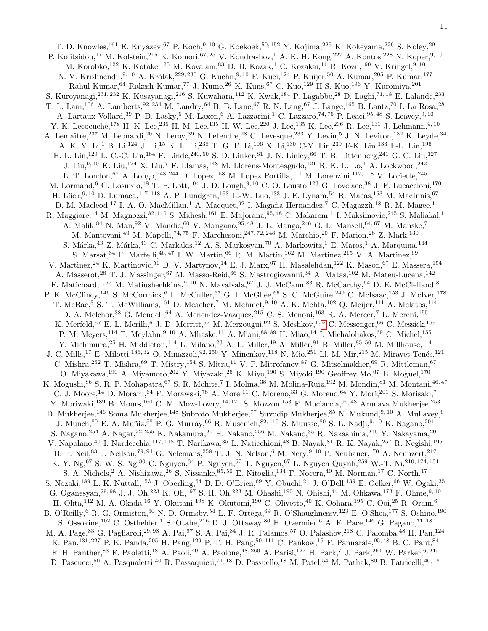T. D. Knowles,<sup>161</sup> E. Knyazev,<sup>67</sup> P. Koch,<sup>9, 10</sup> G. Koekoek,<sup>50, 152</sup> Y. Kojima,<sup>225</sup> K. Kokeyama,<sup>226</sup> S. Koley,<sup>29</sup> P. Kolitsidou,<sup>17</sup> M. Kolstein,<sup>215</sup> K. Komori,<sup>67, 25</sup> V. Kondrashov,<sup>1</sup> A. K. H. Kong,<sup>227</sup> A. Kontos,<sup>228</sup> N. Koper,<sup>9, 10</sup> M. Korobko,<sup>122</sup> K. Kotake,<sup>125</sup> M. Kovalam,<sup>83</sup> D. B. Kozak,<sup>1</sup> C. Kozakai,<sup>44</sup> R. Kozu,<sup>190</sup> V. Kringel,<sup>9,10</sup> N. V. Krishnendu, <sup>9, 10</sup> A. Królak, <sup>229, 230</sup> G. Kuehn, <sup>9, 10</sup> F. Kuei, <sup>124</sup> P. Kuijer, <sup>50</sup> A. Kumar, <sup>205</sup> P. Kumar, <sup>177</sup> Rahul Kumar,<sup>64</sup> Rakesh Kumar,<sup>77</sup> J. Kume,<sup>26</sup> K. Kuns,<sup>67</sup> C. Kuo,<sup>129</sup> H-S. Kuo,<sup>196</sup> Y. Kuromiya,<sup>201</sup> S. Kuroyanagi,<sup>231, 232</sup> K. Kusayanagi,<sup>216</sup> S. Kuwahara,<sup>112</sup> K. Kwak,<sup>184</sup> P. Lagabbe,<sup>28</sup> D. Laghi,<sup>71, 18</sup> E. Lalande,<sup>233</sup> T. L. Lam,<sup>106</sup> A. Lamberts,<sup>92, 234</sup> M. Landry,<sup>64</sup> B. B. Lane,<sup>67</sup> R. N. Lang,<sup>67</sup> J. Lange,<sup>165</sup> B. Lantz,<sup>70</sup> I. La Rosa,<sup>28</sup> A. Lartaux-Vollard,<sup>39</sup> P. D. Lasky,<sup>5</sup> M. Laxen,<sup>6</sup> A. Lazzarini,<sup>1</sup> C. Lazzaro,<sup>74, 75</sup> P. Leaci,<sup>95, 48</sup> S. Leavev,<sup>9, 10</sup> Y. K. Lecoeuche,<sup>178</sup> H. K. Lee,<sup>235</sup> H. M. Lee,<sup>135</sup> H. W. Lee,<sup>220</sup> J. Lee,<sup>135</sup> K. Lee,<sup>236</sup> R. Lee,<sup>131</sup> J. Lehmann,<sup>9, 10</sup> A. Lemaître,<sup>237</sup> M. Leonardi,<sup>20</sup> N. Leroy,<sup>39</sup> N. Letendre,<sup>28</sup> C. Levesque,<sup>233</sup> Y. Levin,<sup>5</sup> J. N. Leviton,<sup>182</sup> K. Leyde,<sup>34</sup> A. K. Y. Li,<sup>1</sup> B. Li,<sup>124</sup> J. Li,<sup>15</sup> K. L. Li,<sup>238</sup> T. G. F. Li,<sup>106</sup> X. Li,<sup>130</sup> C-Y. Lin,<sup>239</sup> F-K. Lin,<sup>133</sup> F-L. Lin,<sup>196</sup> H. L. Lin,<sup>129</sup> L. C.-C. Lin,<sup>184</sup> F. Linde,<sup>240,50</sup> S. D. Linker,<sup>81</sup> J. N. Linley,<sup>66</sup> T. B. Littenberg,<sup>241</sup> G. C. Liu,<sup>127</sup> J. Liu,<sup>9, 10</sup> K. Liu,<sup>124</sup> X. Liu,<sup>7</sup> F. Llamas,<sup>148</sup> M. Llorens-Monteagudo,<sup>121</sup> R. K. L. Lo,<sup>1</sup> A. Lockwood,<sup>242</sup> L. T. London, <sup>67</sup> A. Longo, <sup>243, 244</sup> D. Lopez, <sup>158</sup> M. Lopez Portilla, <sup>111</sup> M. Lorenzini, <sup>117, 118</sup> V. Loriette, <sup>245</sup> M. Lormand,<sup>6</sup> G. Losurdo,<sup>18</sup> T. P. Lott,<sup>104</sup> J. D. Lough,<sup>9,10</sup> C. O. Lousto,<sup>123</sup> G. Lovelace,<sup>38</sup> J. F. Lucaccioni,<sup>170</sup> H. Lück, 9, 10 D. Lumaca,  $^{117,118}$  A. P. Lundgren,  $^{153}$  L.-W. Luo,  $^{133}$  J. E. Lynam,  $^{54}$  R. Macas,  $^{153}$  M. MacInnis,  $^{67}$ D. M. Macleod,<sup>17</sup> I. A. O. MacMillan,<sup>1</sup> A. Macquet,<sup>92</sup> I. Magaña Hernandez,<sup>7</sup> C. Magazzù,<sup>18</sup> R. M. Magee,<sup>1</sup> R. Maggiore,<sup>14</sup> M. Magnozzi,<sup>82, 110</sup> S. Mahesh,<sup>161</sup> E. Majorana,<sup>95,48</sup> C. Makarem,<sup>1</sup> I. Maksimovic,<sup>245</sup> S. Maliakal,<sup>1</sup> A. Malik, <sup>84</sup> N. Man, <sup>92</sup> V. Mandic, <sup>60</sup> V. Mangano, <sup>95, 48</sup> J. L. Mango, <sup>246</sup> G. L. Mansell, <sup>64, 67</sup> M. Manske,<sup>7</sup> M. Mantovani,<sup>40</sup> M. Mapelli,<sup>74, 75</sup> F. Marchesoni,<sup>247, 72, 248</sup> M. Marchio,<sup>20</sup> F. Marion,<sup>28</sup> Z. Mark,<sup>130</sup> S. Márka,<sup>43</sup> Z. Márka,<sup>43</sup> C. Markakis,<sup>12</sup> A. S. Markosyan,<sup>70</sup> A. Markowitz,<sup>1</sup> E. Maros,<sup>1</sup> A. Marquina,<sup>144</sup> S. Marsat, <sup>34</sup> F. Martelli, <sup>46, 47</sup> I. W. Martin, <sup>66</sup> R. M. Martin, <sup>162</sup> M. Martinez, <sup>215</sup> V. A. Martinez, <sup>69</sup> V. Martinez,<sup>24</sup> K. Martinovic,<sup>51</sup> D. V. Martynov,<sup>14</sup> E. J. Marx,<sup>67</sup> H. Masalehdan,<sup>122</sup> K. Mason,<sup>67</sup> E. Massera,<sup>154</sup> A. Masserot,<sup>28</sup> T. J. Massinger,<sup>67</sup> M. Masso-Reid,<sup>66</sup> S. Mastrogiovanni,<sup>34</sup> A. Matas,<sup>102</sup> M. Mateu-Lucena,<sup>142</sup> F. Matichard,<sup>1, 67</sup> M. Matiushechkina,<sup>9, 10</sup> N. Mavalvala,<sup>67</sup> J. J. McCann,<sup>83</sup> R. McCarthy,<sup>64</sup> D. E. McClelland,<sup>8</sup> P. K. McClincy,<sup>146</sup> S. McCormick,<sup>6</sup> L. McCuller,<sup>67</sup> G. I. McGhee,<sup>66</sup> S. C. McGuire,<sup>249</sup> C. McIsaac,<sup>153</sup> J. McIver,<sup>178</sup> T. McRae, <sup>8</sup> S. T. McWilliams,<sup>161</sup> D. Meacher,<sup>7</sup> M. Mehmet,<sup>9, 10</sup> A. K. Mehta,<sup>102</sup> Q. Meijer,<sup>111</sup> A. Melatos,<sup>114</sup> D. A. Melchor,<sup>38</sup> G. Mendell,<sup>64</sup> A. Menendez-Vazquez,<sup>215</sup> C. S. Menoni,<sup>163</sup> R. A. Mercer,<sup>7</sup> L. Mereni,<sup>155</sup> K. Merfeld,<sup>57</sup> E. L. Merilh,<sup>6</sup> J. D. Merritt,<sup>57</sup> M. Merzougui,<sup>92</sup> S. Meshkov,<sup>1,\*</sup> C. Messenger,<sup>66</sup> C. Messick,<sup>165</sup> P. M. Meyers,<sup>114</sup> F. Meylahn,<sup>9, 10</sup> A. Mhaske,<sup>11</sup> A. Miani,<sup>88, 89</sup> H. Miao,<sup>14</sup> I. Michaloliakos,<sup>69</sup> C. Michel,<sup>155</sup> Y. Michimura,<sup>25</sup> H. Middleton,<sup>114</sup> L. Milano,<sup>23</sup> A. L. Miller,<sup>49</sup> A. Miller,<sup>81</sup> B. Miller,<sup>85,50</sup> M. Millhouse,<sup>114</sup> J. C. Mills,<sup>17</sup> E. Milotti,<sup>186, 32</sup> O. Minazzoli,<sup>92, 250</sup> Y. Minenkov,<sup>118</sup> N. Mio,<sup>251</sup> Ll. M. Mir,<sup>215</sup> M. Miravet-Tenés,<sup>121</sup> C. Mishra,<sup>252</sup> T. Mishra,<sup>69</sup> T. Mistry,<sup>154</sup> S. Mitra,<sup>11</sup> V. P. Mitrofanov,<sup>87</sup> G. Mitselmakher,<sup>69</sup> R. Mittleman,<sup>67</sup> O. Miyakawa,<sup>190</sup> A. Miyamoto,<sup>202</sup> Y. Miyazaki,<sup>25</sup> K. Miyo,<sup>190</sup> S. Miyoki,<sup>190</sup> Geoffrey Mo,<sup>67</sup> E. Moguel,<sup>170</sup> K. Mogushi,<sup>86</sup> S. R. P. Mohapatra,<sup>67</sup> S. R. Mohite,<sup>7</sup> I. Molina,<sup>38</sup> M. Molina-Ruiz,<sup>192</sup> M. Mondin,<sup>81</sup> M. Montani,<sup>46,47</sup> C. J. Moore,<sup>14</sup> D. Moraru,<sup>64</sup> F. Morawski,<sup>78</sup> A. More,<sup>11</sup> C. Moreno,<sup>33</sup> G. Moreno,<sup>64</sup> Y. Mori,<sup>201</sup> S. Morisaki,<sup>7</sup> Y. Moriwaki,<sup>189</sup> B. Mours,<sup>160</sup> C. M. Mow-Lowry,<sup>14, 171</sup> S. Mozzon,<sup>153</sup> F. Muciaccia,<sup>95,48</sup> Arunava Mukherjee,<sup>253</sup> D. Mukherjee,<sup>146</sup> Soma Mukherjee,<sup>148</sup> Subroto Mukherjee,<sup>77</sup> Suvodip Mukherjee,<sup>85</sup> N. Mukund,<sup>9,10</sup> A. Mullavey,<sup>6</sup> J. Munch, <sup>80</sup> E. A. Muñiz, <sup>58</sup> P. G. Murray, <sup>66</sup> R. Musenich, <sup>82, 110</sup> S. Muusse, <sup>80</sup> S. L. Nadji, <sup>9, 10</sup> K. Nagano, <sup>204</sup> S. Nagano,<sup>254</sup> A. Nagar,<sup>22, 255</sup> K. Nakamura,<sup>20</sup> H. Nakano,<sup>256</sup> M. Nakano,<sup>35</sup> R. Nakashima,<sup>216</sup> Y. Nakayama,<sup>201</sup> V. Napolano,<sup>40</sup> I. Nardecchia,<sup>117, 118</sup> T. Narikawa,<sup>35</sup> L. Naticchioni,<sup>48</sup> B. Nayak,<sup>81</sup> R. K. Nayak,<sup>257</sup> R. Negishi,<sup>195</sup> B. F. Neil,<sup>83</sup> J. Neilson,<sup>79, 94</sup> G. Nelemans,<sup>258</sup> T. J. N. Nelson,<sup>6</sup> M. Nery,<sup>9, 10</sup> P. Neubauer,<sup>170</sup> A. Neunzert,<sup>217</sup> K. Y. Ng,<sup>67</sup> S. W. S. Ng,<sup>80</sup> C. Nguyen,<sup>34</sup> P. Nguyen,<sup>57</sup> T. Nguyen,<sup>67</sup> L. Nguyen Quynh,<sup>259</sup> W.-T. Ni,<sup>210, 174, 131</sup> S. A. Nichols,<sup>2</sup> A. Nishizawa,<sup>26</sup> S. Nissanke,<sup>85, 50</sup> E. Nitoglia,<sup>134</sup> F. Nocera,<sup>40</sup> M. Norman,<sup>17</sup> C. North,<sup>17</sup> S. Nozaki,<sup>189</sup> L. K. Nuttall,<sup>153</sup> J. Oberling,<sup>64</sup> B. D. O'Brien,<sup>69</sup> Y. Obuchi,<sup>21</sup> J. O'Dell,<sup>139</sup> E. Oelker,<sup>66</sup> W. Ogaki,<sup>35</sup> G. Oganesyan,<sup>29, 98</sup> J. J. Oh,<sup>223</sup> K. Oh,<sup>197</sup> S. H. Oh,<sup>223</sup> M. Ohashi,<sup>190</sup> N. Ohishi,<sup>44</sup> M. Ohkawa,<sup>173</sup> F. Ohme,<sup>9, 10</sup> H. Ohta,<sup>112</sup> M. A. Okada,<sup>16</sup> Y. Okutani,<sup>198</sup> K. Okutomi,<sup>190</sup> C. Olivetto,<sup>40</sup> K. Oohara,<sup>195</sup> C. Ooi,<sup>25</sup> R. Oram,<sup>6</sup> B. O'Reilly,<sup>6</sup> R. G. Ormiston,<sup>60</sup> N. D. Ormsby,<sup>54</sup> L. F. Ortega,<sup>69</sup> R. O'Shaughnessy,<sup>123</sup> E. O'Shea,<sup>177</sup> S. Oshino,<sup>190</sup> S. Ossokine,<sup>102</sup> C. Osthelder,<sup>1</sup> S. Otabe,<sup>216</sup> D. J. Ottaway,<sup>80</sup> H. Overmier,<sup>6</sup> A. E. Pace,<sup>146</sup> G. Pagano,<sup>71,18</sup> M. A. Page, <sup>83</sup> G. Pagliaroli,<sup>29, 98</sup> A. Pai, <sup>97</sup> S. A. Pai, <sup>84</sup> J. R. Palamos, <sup>57</sup> O. Palashov, <sup>218</sup> C. Palomba, <sup>48</sup> H. Pan, <sup>124</sup> K. Pan,<sup>131, 227</sup> P. K. Panda,<sup>205</sup> H. Pang,<sup>129</sup> P. T. H. Pang,<sup>50, 111</sup> C. Pankow,<sup>15</sup> F. Pannarale,<sup>95, 48</sup> B. C. Pant,<sup>84</sup> F. H. Panther, <sup>83</sup> F. Paoletti, <sup>18</sup> A. Paoli, <sup>40</sup> A. Paolone, <sup>48, 260</sup> A. Parisi, <sup>127</sup> H. Park, <sup>7</sup> J. Park, <sup>261</sup> W. Parker, <sup>6, 249</sup> D. Pascucci,<sup>50</sup> A. Pasqualetti,<sup>40</sup> R. Passaquieti,<sup>71, 18</sup> D. Passuello,<sup>18</sup> M. Patel,<sup>54</sup> M. Pathak,<sup>80</sup> B. Patricelli,<sup>40, 18</sup>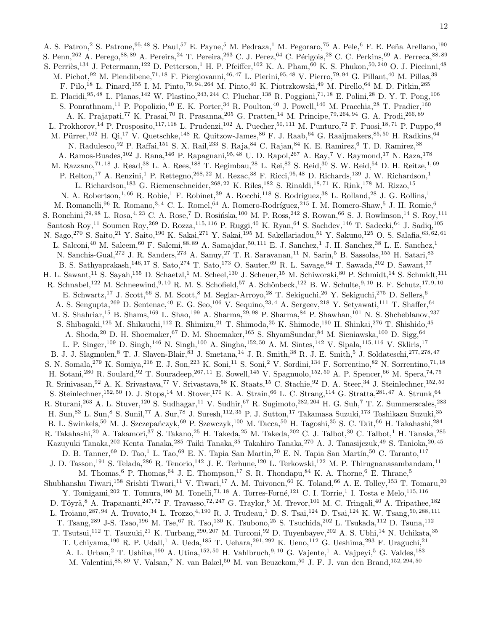A. S. Patron,<sup>2</sup> S. Patrone,<sup>95, 48</sup> S. Paul,<sup>57</sup> E. Payne,<sup>5</sup> M. Pedraza,<sup>1</sup> M. Pegoraro,<sup>75</sup> A. Pele,<sup>6</sup> F. E. Peña Arellano,<sup>190</sup> S. Penn,<sup>262</sup> A. Perego,<sup>88, 89</sup> A. Pereira,<sup>24</sup> T. Pereira,<sup>263</sup> C. J. Perez,<sup>64</sup> C. Périgois,<sup>28</sup> C. C. Perkins,<sup>69</sup> A. Perreca,<sup>88, 89</sup> S. Perriès,<sup>134</sup> J. Petermann,<sup>122</sup> D. Petterson,<sup>1</sup> H. P. Pfeiffer,<sup>102</sup> K. A. Pham,<sup>60</sup> K. S. Phukon,<sup>50, 240</sup> O. J. Piccinni,<sup>48</sup> M. Pichot,<sup>92</sup> M. Piendibene,<sup>71, 18</sup> F. Piergiovanni,<sup>46, 47</sup> L. Pierini,<sup>95, 48</sup> V. Pierro,<sup>79, 94</sup> G. Pillant,<sup>40</sup> M. Pillas,<sup>39</sup> F. Pilo,<sup>18</sup> L. Pinard,<sup>155</sup> I. M. Pinto,<sup>79, 94, 264</sup> M. Pinto,<sup>40</sup> K. Piotrzkowski,<sup>49</sup> M. Pirello,<sup>64</sup> M. D. Pitkin,<sup>265</sup> E. Placidi, <sup>95, 48</sup> L. Planas, <sup>142</sup> W. Plastino, <sup>243, 244</sup> C. Pluchar, <sup>138</sup> R. Poggiani,<sup>71, 18</sup> E. Polini, <sup>28</sup> D. Y. T. Pong, <sup>106</sup> S. Ponrathnam,<sup>11</sup> P. Popolizio,<sup>40</sup> E. K. Porter,<sup>34</sup> R. Poulton,<sup>40</sup> J. Powell,<sup>140</sup> M. Pracchia,<sup>28</sup> T. Pradier,<sup>160</sup> A. K. Prajapati,<sup>77</sup> K. Prasai,<sup>70</sup> R. Prasanna,<sup>205</sup> G. Pratten,<sup>14</sup> M. Principe,<sup>79, 264, 94</sup> G. A. Prodi,<sup>266, 89</sup> L. Prokhorov,<sup>14</sup> P. Prosposito,<sup>117,118</sup> L. Prudenzi,<sup>102</sup> A. Puecher,<sup>50,111</sup> M. Punturo,<sup>72</sup> F. Puosi,<sup>18,71</sup> P. Puppo,<sup>48</sup> M. Pürrer,<sup>102</sup> H. Qi,<sup>17</sup> V. Quetschke,<sup>148</sup> R. Quitzow-James,<sup>86</sup> F. J. Raab,<sup>64</sup> G. Raaijmakers,<sup>85, 50</sup> H. Radkins,<sup>64</sup> N. Radulesco,<sup>92</sup> P. Raffai,<sup>151</sup> S. X. Rail,<sup>233</sup> S. Raja,<sup>84</sup> C. Rajan,<sup>84</sup> K. E. Ramirez,<sup>6</sup> T. D. Ramirez,<sup>38</sup> A. Ramos-Buades,<sup>102</sup> J. Rana,<sup>146</sup> P. Rapagnani,<sup>95, 48</sup> U. D. Rapol,<sup>267</sup> A. Ray,<sup>7</sup> V. Raymond,<sup>17</sup> N. Raza,<sup>178</sup> M. Razzano,<sup>71, 18</sup> J. Read, <sup>38</sup> L. A. Rees, <sup>188</sup> T. Regimbau, <sup>28</sup> L. Rei, <sup>82</sup> S. Reid, <sup>30</sup> S. W. Reid, <sup>54</sup> D. H. Reitze, <sup>1, 69</sup> P. Relton,<sup>17</sup> A. Renzini,<sup>1</sup> P. Rettegno,<sup>268, 22</sup> M. Rezac,<sup>38</sup> F. Ricci,<sup>95, 48</sup> D. Richards,<sup>139</sup> J. W. Richardson,<sup>1</sup> L. Richardson,<sup>183</sup> G. Riemenschneider,<sup>268, 22</sup> K. Riles,<sup>182</sup> S. Rinaldi,<sup>18, 71</sup> K. Rink,<sup>178</sup> M. Rizzo,<sup>15</sup> N. A. Robertson,<sup>1, 66</sup> R. Robie,<sup>1</sup> F. Robinet,<sup>39</sup> A. Rocchi,<sup>118</sup> S. Rodriguez,<sup>38</sup> L. Rolland,<sup>28</sup> J. G. Rollins,<sup>1</sup> M. Romanelli,<sup>96</sup> R. Romano,<sup>3, 4</sup> C. L. Romel,<sup>64</sup> A. Romero-Rodríguez,<sup>215</sup> I. M. Romero-Shaw,<sup>5</sup> J. H. Romie,<sup>6</sup> S. Ronchini,<sup>29, 98</sup> L. Rosa,<sup>4, 23</sup> C. A. Rose,<sup>7</sup> D. Rosińska,<sup>100</sup> M. P. Ross,<sup>242</sup> S. Rowan,<sup>66</sup> S. J. Rowlinson,<sup>14</sup> S. Roy,<sup>111</sup> Santosh Roy,<sup>11</sup> Soumen Roy,<sup>269</sup> D. Rozza,<sup>115, 116</sup> P. Ruggi,<sup>40</sup> K. Ryan,<sup>64</sup> S. Sachdev,<sup>146</sup> T. Sadecki,<sup>64</sup> J. Sadiq,<sup>105</sup> N. Sago,<sup>270</sup> S. Saito,<sup>21</sup> Y. Saito,<sup>190</sup> K. Sakai,<sup>271</sup> Y. Sakai,<sup>195</sup> M. Sakellariadou,<sup>51</sup> Y. Sakuno,<sup>125</sup> O. S. Salafia,<sup>63,62,61</sup> L. Salconi,<sup>40</sup> M. Saleem,<sup>60</sup> F. Salemi,<sup>88, 89</sup> A. Samajdar,<sup>50, 111</sup> E. J. Sanchez,<sup>1</sup> J. H. Sanchez,<sup>38</sup> L. E. Sanchez,<sup>1</sup> N. Sanchis-Gual,<sup>272</sup> J. R. Sanders,<sup>273</sup> A. Sanuy,<sup>27</sup> T. R. Saravanan,<sup>11</sup> N. Sarin,<sup>5</sup> B. Sassolas,<sup>155</sup> H. Satari,<sup>83</sup> B. S. Sathyaprakash,<sup>146, 17</sup> S. Sato,<sup>274</sup> T. Sato,<sup>173</sup> O. Sauter,<sup>69</sup> R. L. Savage,<sup>64</sup> T. Sawada,<sup>202</sup> D. Sawant,<sup>97</sup> H. L. Sawant,<sup>11</sup> S. Sayah,<sup>155</sup> D. Schaetzl,<sup>1</sup> M. Scheel,<sup>130</sup> J. Scheuer,<sup>15</sup> M. Schiworski,<sup>80</sup> P. Schmidt,<sup>14</sup> S. Schmidt,<sup>111</sup> R. Schnabel,<sup>122</sup> M. Schneewind,<sup>9, 10</sup> R. M. S. Schofield,<sup>57</sup> A. Schönbeck,<sup>122</sup> B. W. Schulte,<sup>9, 10</sup> B. F. Schutz,<sup>17, 9, 10</sup> E. Schwartz,<sup>17</sup> J. Scott,<sup>66</sup> S. M. Scott,<sup>8</sup> M. Seglar-Arroyo,<sup>28</sup> T. Sekiguchi,<sup>26</sup> Y. Sekiguchi,<sup>275</sup> D. Sellers,<sup>6</sup> A. S. Sengupta,<sup>269</sup> D. Sentenac,<sup>40</sup> E. G. Seo,<sup>106</sup> V. Sequino,<sup>23, 4</sup> A. Sergeev,<sup>218</sup> Y. Setyawati,<sup>111</sup> T. Shaffer,<sup>64</sup> M. S. Shahriar,<sup>15</sup> B. Shams,<sup>169</sup> L. Shao,<sup>199</sup> A. Sharma,<sup>29, 98</sup> P. Sharma,<sup>84</sup> P. Shawhan,<sup>101</sup> N. S. Shcheblanov,<sup>237</sup> S. Shibagaki,<sup>125</sup> M. Shikauchi,<sup>112</sup> R. Shimizu,<sup>21</sup> T. Shimoda,<sup>25</sup> K. Shimode,<sup>190</sup> H. Shinkai,<sup>276</sup> T. Shishido,<sup>45</sup> A. Shoda,<sup>20</sup> D. H. Shoemaker,<sup>67</sup> D. M. Shoemaker,<sup>165</sup> S. ShyamSundar,<sup>84</sup> M. Sieniawska,<sup>100</sup> D. Sigg,<sup>64</sup> L. P. Singer,<sup>109</sup> D. Singh,<sup>146</sup> N. Singh,<sup>100</sup> A. Singha,<sup>152, 50</sup> A. M. Sintes,<sup>142</sup> V. Sipala,<sup>115, 116</sup> V. Skliris,<sup>17</sup> B. J. J. Slagmolen,<sup>8</sup> T. J. Slaven-Blair,<sup>83</sup> J. Smetana,<sup>14</sup> J. R. Smith,<sup>38</sup> R. J. E. Smith,<sup>5</sup> J. Soldateschi,<sup>277,278,47</sup> S. N. Somala,<sup>279</sup> K. Somiya,<sup>216</sup> E. J. Son,<sup>223</sup> K. Soni,<sup>11</sup> S. Soni,<sup>2</sup> V. Sordini,<sup>134</sup> F. Sorrentino,<sup>82</sup> N. Sorrentino,<sup>71,18</sup> H. Sotani,<sup>280</sup> R. Soulard,<sup>92</sup> T. Souradeep,<sup>267, 11</sup> E. Sowell,<sup>145</sup> V. Spagnuolo,<sup>152, 50</sup> A. P. Spencer,<sup>66</sup> M. Spera,<sup>74, 75</sup> R. Srinivasan,<sup>92</sup> A. K. Srivastava,<sup>77</sup> V. Srivastava,<sup>58</sup> K. Staats,<sup>15</sup> C. Stachie,<sup>92</sup> D. A. Steer,<sup>34</sup> J. Steinlechner,<sup>152,50</sup> S. Steinlechner,<sup>152, 50</sup> D. J. Stops,<sup>14</sup> M. Stover,<sup>170</sup> K. A. Strain,<sup>66</sup> L. C. Strang,<sup>114</sup> G. Stratta,<sup>281, 47</sup> A. Strunk,<sup>64</sup> R. Sturani,<sup>263</sup> A. L. Stuver,<sup>120</sup> S. Sudhagar,<sup>11</sup> V. Sudhir,<sup>67</sup> R. Sugimoto,<sup>282, 204</sup> H. G. Suh,<sup>7</sup> T. Z. Summerscales,<sup>283</sup> H. Sun,<sup>83</sup> L. Sun,<sup>8</sup> S. Sunil,<sup>77</sup> A. Sur,<sup>78</sup> J. Suresh,<sup>112, 35</sup> P. J. Sutton,<sup>17</sup> Takamasa Suzuki,<sup>173</sup> Toshikazu Suzuki,<sup>35</sup> B. L. Swinkels,<sup>50</sup> M. J. Szczepańczyk,<sup>69</sup> P. Szewczyk,<sup>100</sup> M. Tacca,<sup>50</sup> H. Tagoshi,<sup>35</sup> S. C. Tait,<sup>66</sup> H. Takahashi,<sup>284</sup> R. Takahashi,<sup>20</sup> A. Takamori,<sup>37</sup> S. Takano,<sup>25</sup> H. Takeda,<sup>25</sup> M. Takeda,<sup>202</sup> C. J. Talbot,<sup>30</sup> C. Talbot,<sup>1</sup> H. Tanaka,<sup>285</sup> Kazuyuki Tanaka, <sup>202</sup> Kenta Tanaka, <sup>285</sup> Taiki Tanaka, <sup>35</sup> Takahiro Tanaka, <sup>270</sup> A. J. Tanasijczuk, <sup>49</sup> S. Tanioka, <sup>20, 45</sup> D. B. Tanner,<sup>69</sup> D. Tao,<sup>1</sup> L. Tao,<sup>69</sup> E. N. Tapia San Martin,<sup>20</sup> E. N. Tapia San Martín,<sup>50</sup> C. Taranto,<sup>117</sup> J. D. Tasson,<sup>191</sup> S. Telada,<sup>286</sup> R. Tenorio,<sup>142</sup> J. E. Terhune,<sup>120</sup> L. Terkowski,<sup>122</sup> M. P. Thirugnanasambandam,<sup>11</sup> M. Thomas, <sup>6</sup> P. Thomas, <sup>64</sup> J. E. Thompson, <sup>17</sup> S. R. Thondapu, <sup>84</sup> K. A. Thorne, <sup>6</sup> E. Thrane, <sup>5</sup> Shubhanshu Tiwari,<sup>158</sup> Srishti Tiwari,<sup>11</sup> V. Tiwari,<sup>17</sup> A. M. Toivonen,<sup>60</sup> K. Toland,<sup>66</sup> A. E. Tolley,<sup>153</sup> T. Tomaru,<sup>20</sup> Y. Tomigami,<sup>202</sup> T. Tomura,<sup>190</sup> M. Tonelli,<sup>71, 18</sup> A. Torres-Forné,<sup>121</sup> C. I. Torrie,<sup>1</sup> I. Tosta e Melo,<sup>115, 116</sup> D. Töyrä,<sup>8</sup> A. Trapananti,<sup>247, 72</sup> F. Travasso,<sup>72, 247</sup> G. Traylor,<sup>6</sup> M. Trevor,<sup>101</sup> M. C. Tringali,<sup>40</sup> A. Tripathee,<sup>182</sup> L. Troiano, <sup>287, 94</sup> A. Trovato, <sup>34</sup> L. Trozzo, <sup>4, 190</sup> R. J. Trudeau, <sup>1</sup> D. S. Tsai, <sup>124</sup> D. Tsai, <sup>124</sup> K. W. Tsang, <sup>50, 288, 111</sup> T. Tsang,<sup>289</sup> J-S. Tsao,<sup>196</sup> M. Tse,<sup>67</sup> R. Tso,<sup>130</sup> K. Tsubono,<sup>25</sup> S. Tsuchida,<sup>202</sup> L. Tsukada,<sup>112</sup> D. Tsuna,<sup>112</sup> T. Tsutsui,<sup>112</sup> T. Tsuzuki,<sup>21</sup> K. Turbang,<sup>290,207</sup> M. Turconi,<sup>92</sup> D. Tuyenbayev,<sup>202</sup> A. S. Ubhi,<sup>14</sup> N. Uchikata,<sup>35</sup> T. Uchiyama,<sup>190</sup> R. P. Udall,<sup>1</sup> A. Ueda,<sup>185</sup> T. Uehara,<sup>291, 292</sup> K. Ueno,<sup>112</sup> G. Ueshima,<sup>293</sup> F. Uraguchi,<sup>21</sup> A. L. Urban,<sup>2</sup> T. Ushiba,<sup>190</sup> A. Utina,<sup>152,50</sup> H. Vahlbruch,<sup>9,10</sup> G. Vajente,<sup>1</sup> A. Vajpeyi,<sup>5</sup> G. Valdes,<sup>183</sup> M. Valentini, 88, 89 V. Valsan,<sup>7</sup> N. van Bakel, <sup>50</sup> M. van Beuzekom, <sup>50</sup> J. F. J. van den Brand, <sup>152, 294, 50</sup>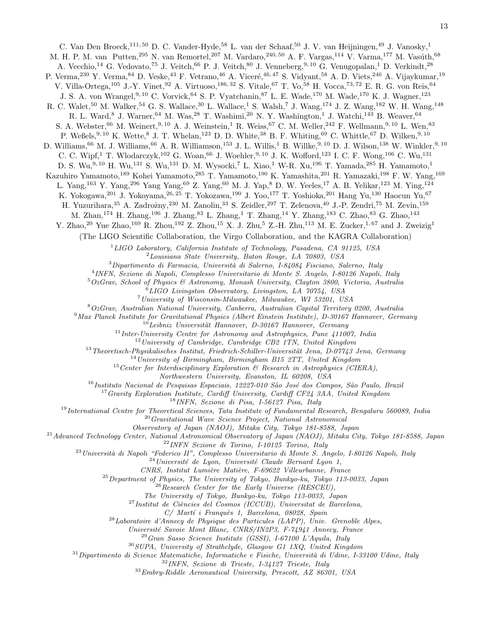C. Van Den Broeck, $^{111, 50}$  D. C. Vander-Hyde, $^{58}$  L. van der Schaaf, $^{50}$  J. V. van Heijningen, $^{49}$  J. Vanosky, $^{1}$ M. H. P. M. van Putten,<sup>295</sup> N. van Remortel,<sup>207</sup> M. Vardaro,<sup>240, 50</sup> A. F. Vargas,<sup>114</sup> V. Varma,<sup>177</sup> M. Vasúth,<sup>68</sup> A. Vecchio,<sup>14</sup> G. Vedovato,<sup>75</sup> J. Veitch,<sup>66</sup> P. J. Veitch,<sup>80</sup> J. Venneberg,<sup>9, 10</sup> G. Venugopalan,<sup>1</sup> D. Verkindt,<sup>28</sup> P. Verma,<sup>230</sup> Y. Verma,<sup>84</sup> D. Veske,<sup>43</sup> F. Vetrano,<sup>46</sup> A. Viceré,<sup>46, 47</sup> S. Vidyant,<sup>58</sup> A. D. Viets,<sup>246</sup> A. Vijaykumar,<sup>19</sup> V. Villa-Ortega,<sup>105</sup> J.-Y. Vinet,<sup>92</sup> A. Virtuoso,186, 32 S. Vitale,<sup>67</sup> T. Vo,<sup>58</sup> H. Vocca,73, 72 E. R. G. von Reis,<sup>64</sup> J. S. A. von Wrangel, <sup>9, 10</sup> C. Vorvick, <sup>64</sup> S. P. Vyatchanin, <sup>87</sup> L. E. Wade, <sup>170</sup> M. Wade, <sup>170</sup> K. J. Wagner, <sup>123</sup> R. C. Walet,<sup>50</sup> M. Walker,<sup>54</sup> G. S. Wallace,<sup>30</sup> L. Wallace,<sup>1</sup> S. Walsh,<sup>7</sup> J. Wang,<sup>174</sup> J. Z. Wang,<sup>182</sup> W. H. Wang,<sup>148</sup> R. L. Ward,<sup>8</sup> J. Warner,<sup>64</sup> M. Was,<sup>28</sup> T. Washimi,<sup>20</sup> N. Y. Washington,<sup>1</sup> J. Watchi,<sup>143</sup> B. Weaver,<sup>64</sup> S. A. Webster,<sup>66</sup> M. Weinert,<sup>9, 10</sup> A. J. Weinstein,<sup>1</sup> R. Weiss,<sup>67</sup> C. M. Weller,<sup>242</sup> F. Wellmann,<sup>9, 10</sup> L. Wen,<sup>83</sup> P. Weßels, 9, 10 K. Wette, 8 J. T. Whelan,  $^{123}$  D. D. White,  $^{38}$  B. F. Whiting,  $^{69}$  C. Whittle,  $^{67}$  D. Wilken,  $^{9,10}$ D. Williams,  $^{66}$  M. J. Williams,  $^{66}$  A. R. Williamson,  $^{153}$  J. L. Willis, <sup>1</sup> B. Willke,  $^{9,10}$  D. J. Wilson,  $^{138}$  W. Winkler,  $^{9,10}$ C. C. Wipf,<sup>1</sup> T. Wlodarczyk,<sup>102</sup> G. Woan,<sup>66</sup> J. Woehler,<sup>9, 10</sup> J. K. Wofford,<sup>123</sup> I. C. F. Wong,<sup>106</sup> C. Wu,<sup>131</sup> D. S. Wu,<sup>9, 10</sup> H. Wu,<sup>131</sup> S. Wu,<sup>131</sup> D. M. Wysocki,<sup>7</sup> L. Xiao,<sup>1</sup> W-R. Xu,<sup>196</sup> T. Yamada,<sup>285</sup> H. Yamamoto,<sup>1</sup> Kazuhiro Yamamoto,<sup>189</sup> Kohei Yamamoto,<sup>285</sup> T. Yamamoto,<sup>190</sup> K. Yamashita,<sup>201</sup> R. Yamazaki,<sup>198</sup> F. W. Yang,<sup>169</sup> L. Yang,<sup>163</sup> Y. Yang,<sup>296</sup> Yang Yang,<sup>69</sup> Z. Yang,<sup>60</sup> M. J. Yap,<sup>8</sup> D. W. Yeeles,<sup>17</sup> A. B. Yelikar,<sup>123</sup> M. Ying,<sup>124</sup> K. Yokogawa,<sup>201</sup> J. Yokoyama,<sup>26, 25</sup> T. Yokozawa,<sup>190</sup> J. Yoo,<sup>177</sup> T. Yoshioka,<sup>201</sup> Hang Yu,<sup>130</sup> Haocun Yu,<sup>67</sup> H. Yuzurihara, <sup>35</sup> A. Zadrożny, <sup>230</sup> M. Zanolin, <sup>33</sup> S. Zeidler, <sup>297</sup> T. Zelenova, <sup>40</sup> J.-P. Zendri, <sup>75</sup> M. Zevin, <sup>159</sup> M. Zhan,<sup>174</sup> H. Zhang,<sup>196</sup> J. Zhang,<sup>83</sup> L. Zhang,<sup>1</sup> T. Zhang,<sup>14</sup> Y. Zhang,<sup>183</sup> C. Zhao,<sup>83</sup> G. Zhao,<sup>143</sup> Y. Zhao,<sup>20</sup> Yue Zhao,<sup>169</sup> R. Zhou,<sup>192</sup> Z. Zhou,<sup>15</sup> X. J. Zhu,<sup>5</sup> Z.-H. Zhu,<sup>113</sup> M. E. Zucker,<sup>1,67</sup> and J. Zweizig<sup>1</sup> (The LIGO Scientific Collaboration, the Virgo Collaboration, and the KAGRA Collaboration)  $1$ LIGO Laboratory, California Institute of Technology, Pasadena, CA 91125, USA <sup>2</sup>Louisiana State University, Baton Rouge, LA 70803, USA  $3$ Dipartimento di Farmacia, Università di Salerno, I-84084 Fisciano, Salerno, Italy 4 INFN, Sezione di Napoli, Complesso Universitario di Monte S. Angelo, I-80126 Napoli, Italy  $5OzGrav$ , School of Physics & Astronomy, Monash University, Clayton 3800, Victoria, Australia  $6LIGO$  Livingston Observatory, Livingston, LA  $70754$ , USA <sup>7</sup>University of Wisconsin-Milwaukee, Milwaukee, WI 53201, USA <sup>8</sup>OzGrav, Australian National University, Canberra, Australian Capital Territory 0200, Australia <sup>9</sup>Max Planck Institute for Gravitational Physics (Albert Einstein Institute), D-30167 Hannover, Germany  $10$ Leibniz Universität Hannover, D-30167 Hannover, Germany  $11$ Inter-University Centre for Astronomy and Astrophysics, Pune 411007, India <sup>12</sup> University of Cambridge, Cambridge CB2 1TN, United Kingdom  $13 Theoretisch-Physikalisches Institute, Friedrich-Schiller-Universität Jena, D-07743 Jena, Germany$  $14$ University of Birmingham, Birmingham B15 2TT, United Kingdom  $^{15}$ Center for Interdisciplinary Exploration & Research in Astrophysics (CIERA), Northwestern University, Evanston, IL 60208, USA  $^{16}$ Instituto Nacional de Pesquisas Espaciais, 12227-010 São José dos Campos, São Paulo, Brazil <sup>17</sup> Gravity Exploration Institute, Cardiff University, Cardiff CF24 3AA, United Kingdom <sup>18</sup>INFN, Sezione di Pisa, I-56127 Pisa, Italy <sup>19</sup>International Centre for Theoretical Sciences, Tata Institute of Fundamental Research, Bengaluru 560089, India  $20$ Gravitational Wave Science Project, National Astronomical Observatory of Japan (NAOJ), Mitaka City, Tokyo 181-8588, Japan  $^{21}$ Advanced Technology Center, National Astronomical Observatory of Japan (NAOJ), Mitaka City, Tokyo 181-8588, Japan <sup>22</sup>INFN Sezione di Torino, I-10125 Torino, Italy  $^{23}$ Università di Napoli "Federico II", Complesso Universitario di Monte S. Angelo, I-80126 Napoli, Italy  $^{24}$ Université de Lyon, Université Claude Bernard Lyon 1, CNRS, Institut Lumière Matière, F-69622 Villeurbanne, France  $^{25}$ Department of Physics, The University of Tokyo, Bunkyo-ku, Tokyo 113-0033, Japan  $26$ Research Center for the Early Universe (RESCEU), The University of Tokyo, Bunkyo-ku, Tokyo 113-0033, Japan  $^{27}$ Institut de Ciències del Cosmos (ICCUB), Universitat de Barcelona, C/ Martí i Franquès 1, Barcelona, 08028, Spain  $28$ Laboratoire d'Annecy de Physique des Particules (LAPP), Univ. Grenoble Alpes, Universit´e Savoie Mont Blanc, CNRS/IN2P3, F-74941 Annecy, France

<sup>29</sup>Gran Sasso Science Institute (GSSI), I-67100 L'Aquila, Italy

 $30$  SUPA, University of Strathclyde, Glasgow G1 1XQ, United Kingdom

 $31$ Dipartimento di Scienze Matematiche, Informatiche e Fisiche, Università di Udine, I-33100 Udine, Italy

<sup>32</sup>INFN, Sezione di Trieste, I-34127 Trieste, Italy

 $33$ Embry-Riddle Aeronautical University, Prescott, AZ 86301, USA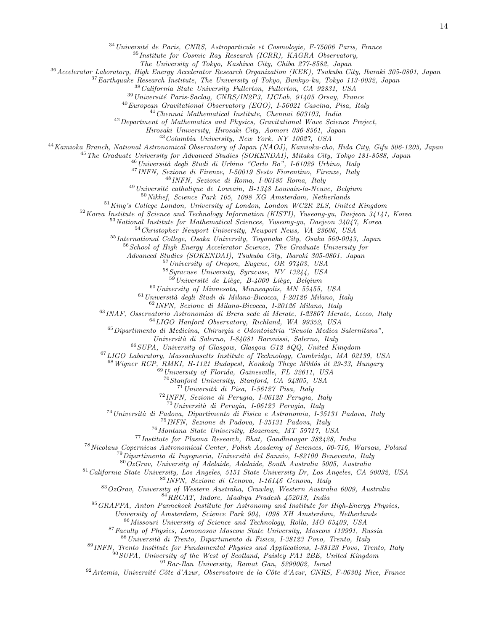Université de Paris, CNRS, Astroparticule et Cosmologie, F-75006 Paris, France

Institute for Cosmic Ray Research (ICRR), KAGRA Observatory,

The University of Tokyo, Kashiwa City, Chiba 277-8582, Japan

Accelerator Laboratory, High Energy Accelerator Research Organization (KEK), Tsukuba City, Ibaraki 305-0801, Japan

Earthquake Research Institute, The University of Tokyo, Bunkyo-ku, Tokyo 113-0032, Japan

<sup>38</sup>California State University Fullerton, Fullerton, CA 92831, USA

Université Paris-Saclay, CNRS/IN2P3, IJCLab, 91405 Orsay, France

European Gravitational Observatory (EGO), I-56021 Cascina, Pisa, Italy

Chennai Mathematical Institute, Chennai 603103, India

Department of Mathematics and Physics, Gravitational Wave Science Project,

Hirosaki University, Hirosaki City, Aomori 036-8561, Japan

Columbia University, New York, NY 10027, USA

Kamioka Branch, National Astronomical Observatory of Japan (NAOJ), Kamioka-cho, Hida City, Gifu 506-1205, Japan

<sup>45</sup>The Graduate University for Advanced Studies (SOKENDAI), Mitaka City, Tokyo 181-8588, Japan

 $^{46}$ Università degli Studi di Urbino "Carlo Bo", I-61029 Urbino, Italy

INFN, Sezione di Firenze, I-50019 Sesto Fiorentino, Firenze, Italy

INFN, Sezione di Roma, I-00185 Roma, Italy

Université catholique de Louvain, B-1348 Louvain-la-Neuve, Belgium

Nikhef, Science Park 105, 1098 XG Amsterdam, Netherlands

King's College London, University of London, London WC2R 2LS, United Kingdom

Korea Institute of Science and Technology Information (KISTI), Yuseong-gu, Daejeon 34141, Korea

National Institute for Mathematical Sciences, Yuseong-gu, Daejeon 34047, Korea

Christopher Newport University, Newport News, VA 23606, USA

International College, Osaka University, Toyonaka City, Osaka 560-0043, Japan

School of High Energy Accelerator Science, The Graduate University for

Advanced Studies (SOKENDAI), Tsukuba City, Ibaraki 305-0801, Japan

University of Oregon, Eugene, OR 97403, USA

Syracuse University, Syracuse, NY 13244, USA

Université de Liège, B-4000 Liège, Belgium

University of Minnesota, Minneapolis, MN 55455, USA

Università degli Studi di Milano-Bicocca, I-20126 Milano, Italy

INFN, Sezione di Milano-Bicocca, I-20126 Milano, Italy

INAF, Osservatorio Astronomico di Brera sede di Merate, I-23807 Merate, Lecco, Italy

LIGO Hanford Observatory, Richland, WA 99352, USA

Dipartimento di Medicina, Chirurgia e Odontoiatria "Scuola Medica Salernitana",

Universit`a di Salerno, I-84081 Baronissi, Salerno, Italy

SUPA, University of Glasgow, Glasgow G12 8QQ, United Kingdom

LIGO Laboratory, Massachusetts Institute of Technology, Cambridge, MA 02139, USA

Wigner RCP, RMKI, H-1121 Budapest, Konkoly Thege Miklós út 29-33, Hungary

 $^{69}$ University of Florida, Gainesville, FL 32611, USA

Stanford University, Stanford, CA 94305, USA

Università di Pisa, I-56127 Pisa, Italy

INFN, Sezione di Perugia, I-06123 Perugia, Italy

 $^{73}$ Università di Perugia, I-06123 Perugia, Italy

<sup>74</sup> Università di Padova, Dipartimento di Fisica e Astronomia, I-35131 Padova, Italy

INFN, Sezione di Padova, I-35131 Padova, Italy

Montana State University, Bozeman, MT 59717, USA

 $^{77}$ Institute for Plasma Research, Bhat, Gandhinagar 382428, India

Nicolaus Copernicus Astronomical Center, Polish Academy of Sciences, 00-716, Warsaw, Poland

 $^{79}$ Dipartimento di Ingegneria, Università del Sannio, I-82100 Benevento, Italy

 $80OzGrav$ , University of Adelaide, Adelaide, South Australia 5005, Australia

<sup>81</sup> California State University, Los Angeles, 5151 State University Dr, Los Angeles, CA 90032, USA

INFN, Sezione di Genova, I-16146 Genova, Italy

OzGrav, University of Western Australia, Crawley, Western Australia 6009, Australia

RRCAT, Indore, Madhya Pradesh 452013, India

GRAPPA, Anton Pannekoek Institute for Astronomy and Institute for High-Energy Physics,

University of Amsterdam, Science Park 904, 1098 XH Amsterdam, Netherlands

Missouri University of Science and Technology, Rolla, MO 65409, USA

Faculty of Physics, Lomonosov Moscow State University, Moscow 119991, Russia

Università di Trento, Dipartimento di Fisica, I-38123 Povo, Trento, Italy

INFN, Trento Institute for Fundamental Physics and Applications, I-38123 Povo, Trento, Italy

SUPA, University of the West of Scotland, Paisley PA1 2BE, United Kingdom

Bar-Ilan University, Ramat Gan, 5290002, Israel

Artemis, Université Côte d'Azur, Observatoire de la Côte d'Azur, CNRS, F-06304 Nice, France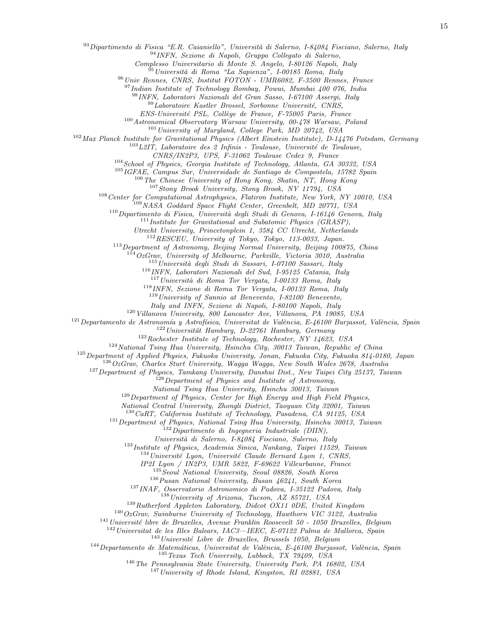Dipartimento di Fisica "E.R. Caianiello", Università di Salerno, I-84084 Fisciano, Salerno, Italy

INFN, Sezione di Napoli, Gruppo Collegato di Salerno,

Complesso Universitario di Monte S. Angelo, I-80126 Napoli, Italy

 $^{95}$ Università di Roma "La Sapienza", I-00185 Roma, Italy

Univ Rennes, CNRS, Institut FOTON - UMR6082, F-3500 Rennes, France

<sup>97</sup>Indian Institute of Technology Bombay, Powai, Mumbai 400 076, India

INFN, Laboratori Nazionali del Gran Sasso, I-67100 Assergi, Italy

Laboratoire Kastler Brossel, Sorbonne Université, CNRS,

ENS-Université PSL, Collège de France, F-75005 Paris, France

Astronomical Observatory Warsaw University, 00-478 Warsaw, Poland

 $^{101}$  University of Maryland, College Park, MD 20742, USA

Max Planck Institute for Gravitational Physics (Albert Einstein Institute), D-14476 Potsdam, Germany

 $^{103}L2I\overset{.}{T}$ , Laboratoire des  $2$  Infinis - Toulouse, Université de Toulouse,

CNRS/IN2P3, UPS, F-31062 Toulouse Cedex 9, France

School of Physics, Georgia Institute of Technology, Atlanta, GA 30332, USA

IGFAE, Campus Sur, Universidade de Santiago de Compostela, 15782 Spain

The Chinese University of Hong Kong, Shatin, NT, Hong Kong

Stony Brook University, Stony Brook, NY 11794, USA

Center for Computational Astrophysics, Flatiron Institute, New York, NY 10010, USA

 $109NASA$  Goddard Space Flight Center, Greenbelt, MD 20771, USA

Dipartimento di Fisica, Università degli Studi di Genova, I-16146 Genova, Italy

Institute for Gravitational and Subatomic Physics (GRASP),

Utrecht University, Princetonplein 1, 3584 CC Utrecht, Netherlands

RESCEU, University of Tokyo, Tokyo, 113-0033, Japan.

Department of Astronomy, Beijing Normal University, Beijing 100875, China

 $114OzGrav$ , University of Melbourne, Parkville, Victoria 3010, Australia

Università degli Studi di Sassari, I-07100 Sassari, Italy

INFN, Laboratori Nazionali del Sud, I-95125 Catania, Italy

Università di Roma Tor Vergata, I-00133 Roma, Italy

INFN, Sezione di Roma Tor Vergata, I-00133 Roma, Italy

University of Sannio at Benevento, I-82100 Benevento,

Italy and INFN, Sezione di Napoli, I-80100 Napoli, Italy

Villanova University, 800 Lancaster Ave, Villanova, PA 19085, USA

Departamento de Astronomía y Astrofísica, Universitat de València, E-46100 Burjassot, València, Spain

Universität Hamburg, D-22761 Hamburg, Germany

Rochester Institute of Technology, Rochester, NY 14623, USA

National Tsing Hua University, Hsinchu City, 30013 Taiwan, Republic of China

Department of Applied Physics, Fukuoka University, Jonan, Fukuoka City, Fukuoka 814-0180, Japan

 $126OzGrav$ , Charles Sturt University, Wagga Wagga, New South Wales 2678, Australia

Department of Physics, Tamkang University, Danshui Dist., New Taipei City 25137, Taiwan

Department of Physics and Institute of Astronomy,

National Tsing Hua University, Hsinchu 30013, Taiwan

<sup>129</sup> Department of Physics, Center for High Energy and High Field Physics,

National Central University, Zhongli District, Taoyuan City 32001, Taiwan

 $130 \text{ CaRT}$ , California Institute of Technology, Pasadena, CA 91125, USA

Department of Physics, National Tsing Hua University, Hsinchu 30013, Taiwan

 $^{132}$ Dipartimento di Ingegneria Industriale (DIIN),

Universit`a di Salerno, I-84084 Fisciano, Salerno, Italy

Institute of Physics, Academia Sinica, Nankang, Taipei 11529, Taiwan

Université Lyon, Université Claude Bernard Lyon 1, CNRS,

IP2I Lyon / IN2P3, UMR 5822, F-69622 Villeurbanne, France

<sup>135</sup> Seoul National University, Seoul 08826, South Korea

Pusan National University, Busan  $46241$ , South Korea

INAF, Osservatorio Astronomico di Padova, I-35122 Padova, Italy

<sup>138</sup> University of Arizona, Tucson, AZ 85721, USA

<sup>139</sup>Rutherford Appleton Laboratory, Didcot OX11 0DE, United Kingdom

OzGrav, Swinburne University of Technology, Hawthorn VIC 3122, Australia

Université libre de Bruxelles, Avenue Franklin Roosevelt 50 - 1050 Bruxelles, Belgium

 $^{142}$ Universitat de les Illes Balears, IAC3—IEEC, E-07122 Palma de Mallorca, Spain

Université Libre de Bruxelles, Brussels 1050, Belgium

Departamento de Matemáticas, Universitat de València, E-46100 Burjassot, València, Spain

Texas Tech University, Lubbock, TX 79409, USA

The Pennsylvania State University, University Park, PA 16802, USA

University of Rhode Island, Kingston, RI 02881, USA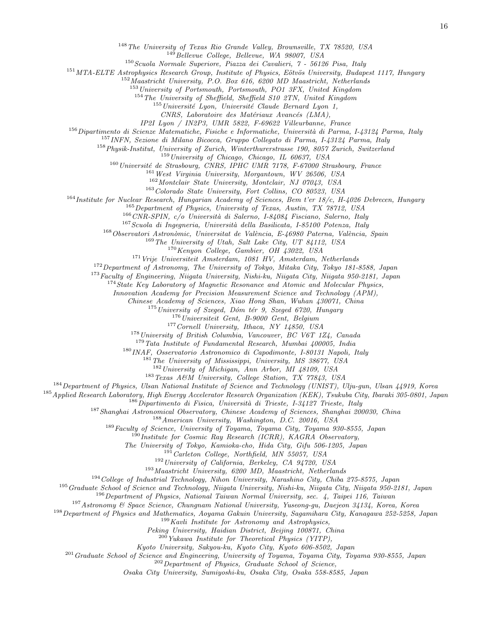<sup>148</sup> The University of Texas Rio Grande Valley, Brownsville, TX 78520, USA

<sup>149</sup>Bellevue College, Bellevue, WA 98007, USA

Scuola Normale Superiore, Piazza dei Cavalieri, 7 - 56126 Pisa, Italy

MTA-ELTE Astrophysics Research Group, Institute of Physics, Eötvös University, Budapest 1117, Hungary

Maastricht University, P.O. Box 616, 6200 MD Maastricht, Netherlands

University of Portsmouth, Portsmouth, PO1 3FX, United Kingdom

The University of Sheffield, Sheffield S10 2TN, United Kingdom

 $^{155}$ Université Lyon, Université Claude Bernard Lyon 1,

CNRS, Laboratoire des Matériaux Avancés (LMA),

IP2I Lyon / IN2P3, UMR 5822, F-69622 Villeurbanne, France

Dipartimento di Scienze Matematiche, Fisiche e Informatiche, Università di Parma, I-43124 Parma, Italy

INFN, Sezione di Milano Bicocca, Gruppo Collegato di Parma, I-43124 Parma, Italy

<sup>158</sup> Physik-Institut, University of Zurich, Winterthurerstrasse 190, 8057 Zurich, Switzerland

University of Chicago, Chicago, IL 60637, USA

Université de Strasbourg, CNRS, IPHC UMR 7178, F-67000 Strasbourg, France

<sup>161</sup> West Virginia University, Morgantown, WV 26506, USA

Montclair State University, Montclair, NJ 07043, USA

Colorado State University, Fort Collins, CO 80523, USA

Institute for Nuclear Research, Hungarian Academy of Sciences, Bem t'er 18/c, H-4026 Debrecen, Hungary

Department of Physics, University of Texas, Austin, TX 78712, USA

 $166\,CNR\text{-}SPIN,\ c/o\ University\ air\ Salerno,\ I-84084\ Fisciano,\ Salerno,\ Italy$ 

Scuola di Ingegneria, Università della Basilicata, I-85100 Potenza, Italy

Observatori Astronòmic, Universitat de València, E-46980 Paterna, València, Spain

The University of Utah, Salt Lake City, UT 84112, USA

Kenyon College, Gambier, OH 43022, USA

<sup>171</sup> Vrije Universiteit Amsterdam, 1081 HV, Amsterdam, Netherlands

<sup>172</sup> Department of Astronomy, The University of Tokyo, Mitaka City, Tokyo 181-8588, Japan

Faculty of Engineering, Niigata University, Nishi-ku, Niigata City, Niigata 950-2181, Japan

<sup>174</sup>State Key Laboratory of Magnetic Resonance and Atomic and Molecular Physics,

Innovation Academy for Precision Measurement Science and Technology (APM),

Chinese Academy of Sciences, Xiao Hong Shan, Wuhan 430071, China

University of Szeged, Dóm tér 9, Szeged 6720, Hungary

<sup>176</sup>Universiteit Gent, B-9000 Gent, Belgium

Cornell University, Ithaca, NY 14850, USA

University of British Columbia, Vancouver, BC V6T 1Z4, Canada

Tata Institute of Fundamental Research, Mumbai 400005, India

INAF, Osservatorio Astronomico di Capodimonte, I-80131 Napoli, Italy

The University of Mississippi, University, MS 38677, USA

University of Michigan, Ann Arbor, MI 48109, USA

Texas A&M University, College Station, TX 77843, USA

Department of Physics, Ulsan National Institute of Science and Technology (UNIST), Ulju-gun, Ulsan 44919, Korea

Applied Research Laboratory, High Energy Accelerator Research Organization (KEK), Tsukuba City, Ibaraki 305-0801, Japan

Dipartimento di Fisica, Università di Trieste, I-34127 Trieste, Italy

<sup>187</sup>Shanghai Astronomical Observatory, Chinese Academy of Sciences, Shanghai 200030, China

American University, Washington, D.C. 20016, USA

Faculty of Science, University of Toyama, Toyama City, Toyama 930-8555, Japan

<sup>190</sup>Institute for Cosmic Ray Research (ICRR), KAGRA Observatory,

The University of Tokyo, Kamioka-cho, Hida City, Gifu 506-1205, Japan

 $^{191}$  Carleton College, Northfield, MN 55057, USA

University of California, Berkeley, CA 94720, USA

Maastricht University, 6200 MD, Maastricht, Netherlands

College of Industrial Technology, Nihon University, Narashino City, Chiba 275-8575, Japan

<sup>195</sup> Graduate School of Science and Technology, Niigata University, Nishi-ku, Niigata City, Niigata 950-2181, Japan

Department of Physics, National Taiwan Normal University, sec. 4, Taipei 116, Taiwan

Astronomy & Space Science, Chungnam National University, Yuseong-gu, Daejeon 34134, Korea, Korea

Department of Physics and Mathematics, Aoyama Gakuin University, Sagamihara City, Kanagawa 252-5258, Japan

Kavli Institute for Astronomy and Astrophysics,

Peking University, Haidian District, Beijing 100871, China

 $^{200}$ Yukawa Institute for Theoretical Physics (YITP),

Kyoto University, Sakyou-ku, Kyoto City, Kyoto 606-8502, Japan

<sup>201</sup> Graduate School of Science and Engineering, University of Toyama, Toyama City, Toyama 930-8555, Japan

<sup>202</sup> Department of Physics, Graduate School of Science,

Osaka City University, Sumiyoshi-ku, Osaka City, Osaka 558-8585, Japan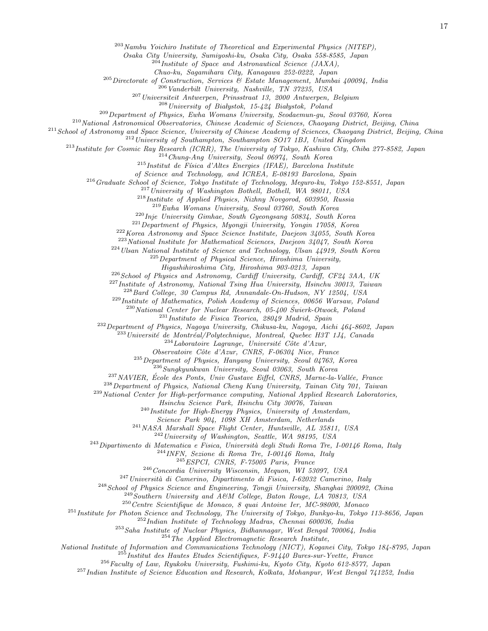$^{203}$  Nambu Yoichiro Institute of Theoretical and Experimental Physics (NITEP),

Osaka City University, Sumiyoshi-ku, Osaka City, Osaka 558-8585, Japan

 $^{204}$ Institute of Space and Astronautical Science (JAXA),

Chuo-ku, Sagamihara City, Kanagawa 252-0222, Japan

 $^{205}$ Directorate of Construction, Services & Estate Management, Mumbai 400094, India

 $^{206}$  Vanderbilt University, Nashville, TN 37235, USA

<sup>207</sup>Universiteit Antwerpen, Prinsstraat 13, 2000 Antwerpen, Belgium

 $^{208}$ University of Białystok, 15-424 Białystok, Poland

<sup>209</sup>Department of Physics, Ewha Womans University, Seodaemun-gu, Seoul 03760, Korea

<sup>210</sup>National Astronomical Observatories, Chinese Academic of Sciences, Chaoyang District, Beijing, China

 $^{211}$ School of Astronomy and Space Science, University of Chinese Academy of Sciences, Chaoyang District, Beijing, China

<sup>212</sup> University of Southampton, Southampton SO17 1BJ, United Kingdom

<sup>213</sup>Institute for Cosmic Ray Research (ICRR), The University of Tokyo, Kashiwa City, Chiba 277-8582, Japan

<sup>214</sup>Chung-Ang University, Seoul 06974, South Korea

 $^{215}$ Institut de Física d'Altes Energies (IFAE), Barcelona Institute

of Science and Technology, and ICREA, E-08193 Barcelona, Spain

<sup>216</sup>Graduate School of Science, Tokyo Institute of Technology, Meguro-ku, Tokyo 152-8551, Japan

<sup>217</sup> University of Washington Bothell, Bothell, WA 98011, USA

<sup>218</sup>Institute of Applied Physics, Nizhny Novgorod, 603950, Russia

 $^{219}Ewha$  Womans University, Seoul 03760, South Korea

 $^{220}$ Inje University Gimhae, South Gyeongsang 50834, South Korea

<sup>221</sup>Department of Physics, Myongji University, Yongin 17058, Korea

<sup>222</sup>Korea Astronomy and Space Science Institute, Daejeon 34055, South Korea

<sup>223</sup>National Institute for Mathematical Sciences, Daejeon 34047, South Korea

 $^{224}$ Ulsan National Institute of Science and Technology, Ulsan  $44919$ , South Korea

 $225$  Department of Physical Science, Hiroshima University,

Higashihiroshima City, Hiroshima 903-0213, Japan

 $^{226}$  School of Physics and Astronomy, Cardiff University, Cardiff, CF24 3AA, UK

<sup>227</sup>Institute of Astronomy, National Tsing Hua University, Hsinchu 30013, Taiwan

 $^{228}$ Bard College, 30 Campus Rd, Annandale-On-Hudson, NY 12504, USA

<sup>229</sup>Institute of Mathematics, Polish Academy of Sciences, 00656 Warsaw, Poland

 $^{230}$ National Center for Nuclear Research, 05-400 Świerk-Otwock, Poland

 $^{231}$ Instituto de Fisica Teorica, 28049 Madrid, Spain

<sup>232</sup>Department of Physics, Nagoya University, Chikusa-ku, Nagoya, Aichi 464-8602, Japan

 $^{233}$ Université de Montréal/Polytechnique, Montreal, Quebec H3T 1J4, Canada

 $^{234}$ Laboratoire Lagrange, Université Côte d'Azur,

Observatoire Côte d'Azur, CNRS, F-06304 Nice, France

 $^{235}$  Department of Physics, Hanyang University, Seoul 04763, Korea

<sup>236</sup>Sungkyunkwan University, Seoul 03063, South Korea

<sup>237</sup>NAVIER, École des Ponts, Univ Gustave Eiffel, CNRS, Marne-la-Vallée, France

<sup>238</sup>Department of Physics, National Cheng Kung University, Tainan City 701, Taiwan

<sup>239</sup>National Center for High-performance computing, National Applied Research Laboratories,

Hsinchu Science Park, Hsinchu City 30076, Taiwan

 $^{240}$ Institute for High-Energy Physics, University of Amsterdam,

Science Park 904, 1098 XH Amsterdam, Netherlands

<sup>241</sup>NASA Marshall Space Flight Center, Huntsville, AL 35811, USA

 $^{242}$ University of Washington, Seattle, WA 98195, USA

 $^{243}$ Dipartimento di Matematica e Fisica, Università degli Studi Roma Tre, I-00146 Roma, Italy

 $^{244}$  INFN, Sezione di Roma Tre, I-00146 Roma, Italy

 $245'ESPCI$ , CNRS, F-75005 Paris, France

<sup>246</sup> Concordia University Wisconsin, Mequon, WI 53097, USA

 $^{247}$ Università di Camerino, Dipartimento di Fisica, I-62032 Camerino, Italy

<sup>248</sup> School of Physics Science and Engineering, Tongji University, Shanghai 200092, China

 $^{249}$ Southern University and A&M College, Baton Rouge, LA 70813, USA

<sup>250</sup>Centre Scientifique de Monaco, 8 quai Antoine Ier, MC-98000, Monaco

<sup>251</sup> Institute for Photon Science and Technology, The University of Tokyo, Bunkyo-ku, Tokyo 113-8656, Japan

<sup>252</sup>Indian Institute of Technology Madras, Chennai 600036, India

<sup>253</sup>Saha Institute of Nuclear Physics, Bidhannagar, West Bengal 700064, India

 $^{254}$ The Applied Electromagnetic Research Institute,

National Institute of Information and Communications Technology (NICT), Koganei City, Tokyo 184-8795, Japan

 $^{255}$ Institut des Hautes Etudes Scientifiques, F-91440 Bures-sur-Yvette, France

<sup>256</sup>Faculty of Law, Ryukoku University, Fushimi-ku, Kyoto City, Kyoto 612-8577, Japan

<sup>257</sup>Indian Institute of Science Education and Research, Kolkata, Mohanpur, West Bengal 741252, India